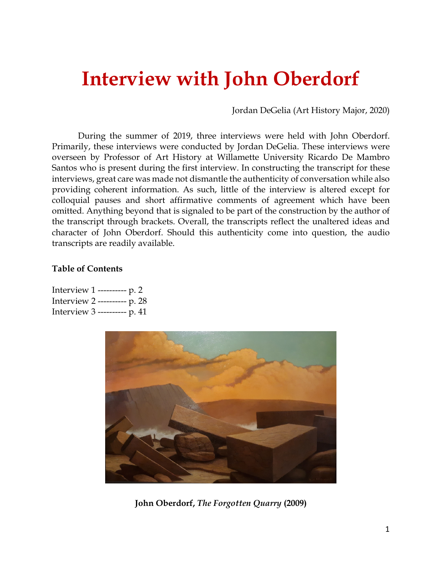# **Interview with John Oberdorf**

Jordan DeGelia (Art History Major, 2020)

During the summer of 2019, three interviews were held with John Oberdorf. Primarily, these interviews were conducted by Jordan DeGelia. These interviews were overseen by Professor of Art History at Willamette University Ricardo De Mambro Santos who is present during the first interview. In constructing the transcript for these interviews, great care was made not dismantle the authenticity of conversation while also providing coherent information. As such, little of the interview is altered except for colloquial pauses and short affirmative comments of agreement which have been omitted. Anything beyond that is signaled to be part of the construction by the author of the transcript through brackets. Overall, the transcripts reflect the unaltered ideas and character of John Oberdorf. Should this authenticity come into question, the audio transcripts are readily available.

#### **Table of Contents**

Interview 1 ---------- p. 2 Interview 2 ---------- p. 28 Interview 3 ---------- p. 41



**John Oberdorf,** *The Forgotten Quarry* **(2009)**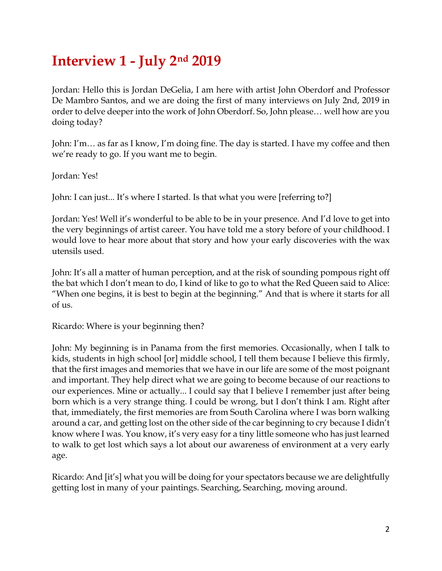## **Interview 1 - July 2nd 2019**

Jordan: Hello this is Jordan DeGelia, I am here with artist John Oberdorf and Professor De Mambro Santos, and we are doing the first of many interviews on July 2nd, 2019 in order to delve deeper into the work of John Oberdorf. So, John please… well how are you doing today?

John: I'm… as far as I know, I'm doing fine. The day is started. I have my coffee and then we're ready to go. If you want me to begin.

Jordan: Yes!

John: I can just... It's where I started. Is that what you were [referring to?]

Jordan: Yes! Well it's wonderful to be able to be in your presence. And I'd love to get into the very beginnings of artist career. You have told me a story before of your childhood. I would love to hear more about that story and how your early discoveries with the wax utensils used.

John: It's all a matter of human perception, and at the risk of sounding pompous right off the bat which I don't mean to do, I kind of like to go to what the Red Queen said to Alice: "When one begins, it is best to begin at the beginning." And that is where it starts for all of us.

Ricardo: Where is your beginning then?

John: My beginning is in Panama from the first memories. Occasionally, when I talk to kids, students in high school [or] middle school, I tell them because I believe this firmly, that the first images and memories that we have in our life are some of the most poignant and important. They help direct what we are going to become because of our reactions to our experiences. Mine or actually... I could say that I believe I remember just after being born which is a very strange thing. I could be wrong, but I don't think I am. Right after that, immediately, the first memories are from South Carolina where I was born walking around a car, and getting lost on the other side of the car beginning to cry because I didn't know where I was. You know, it's very easy for a tiny little someone who has just learned to walk to get lost which says a lot about our awareness of environment at a very early age.

Ricardo: And [it's] what you will be doing for your spectators because we are delightfully getting lost in many of your paintings. Searching, Searching, moving around.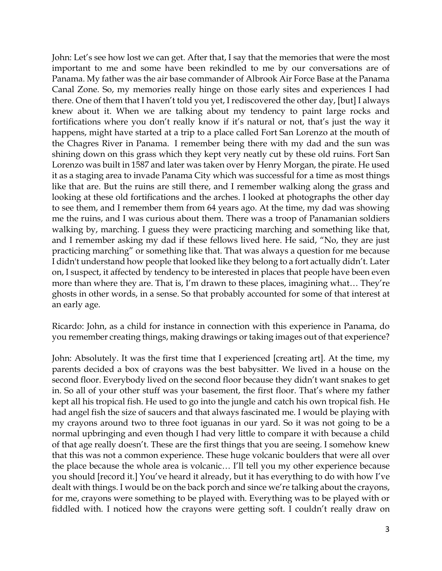John: Let's see how lost we can get. After that, I say that the memories that were the most important to me and some have been rekindled to me by our conversations are of Panama. My father was the air base commander of Albrook Air Force Base at the Panama Canal Zone. So, my memories really hinge on those early sites and experiences I had there. One of them that I haven't told you yet, I rediscovered the other day, [but] I always knew about it. When we are talking about my tendency to paint large rocks and fortifications where you don't really know if it's natural or not, that's just the way it happens, might have started at a trip to a place called Fort San Lorenzo at the mouth of the Chagres River in Panama. I remember being there with my dad and the sun was shining down on this grass which they kept very neatly cut by these old ruins. Fort San Lorenzo was built in 1587 and later was taken over by Henry Morgan, the pirate. He used it as a staging area to invade Panama City which was successful for a time as most things like that are. But the ruins are still there, and I remember walking along the grass and looking at these old fortifications and the arches. I looked at photographs the other day to see them, and I remember them from 64 years ago. At the time, my dad was showing me the ruins, and I was curious about them. There was a troop of Panamanian soldiers walking by, marching. I guess they were practicing marching and something like that, and I remember asking my dad if these fellows lived here. He said, "No, they are just practicing marching" or something like that. That was always a question for me because I didn't understand how people that looked like they belong to a fort actually didn't. Later on, I suspect, it affected by tendency to be interested in places that people have been even more than where they are. That is, I'm drawn to these places, imagining what… They're ghosts in other words, in a sense. So that probably accounted for some of that interest at an early age.

Ricardo: John, as a child for instance in connection with this experience in Panama, do you remember creating things, making drawings or taking images out of that experience?

John: Absolutely. It was the first time that I experienced [creating art]. At the time, my parents decided a box of crayons was the best babysitter. We lived in a house on the second floor. Everybody lived on the second floor because they didn't want snakes to get in. So all of your other stuff was your basement, the first floor. That's where my father kept all his tropical fish. He used to go into the jungle and catch his own tropical fish. He had angel fish the size of saucers and that always fascinated me. I would be playing with my crayons around two to three foot iguanas in our yard. So it was not going to be a normal upbringing and even though I had very little to compare it with because a child of that age really doesn't. These are the first things that you are seeing. I somehow knew that this was not a common experience. These huge volcanic boulders that were all over the place because the whole area is volcanic… I'll tell you my other experience because you should [record it.] You've heard it already, but it has everything to do with how I've dealt with things. I would be on the back porch and since we're talking about the crayons, for me, crayons were something to be played with. Everything was to be played with or fiddled with. I noticed how the crayons were getting soft. I couldn't really draw on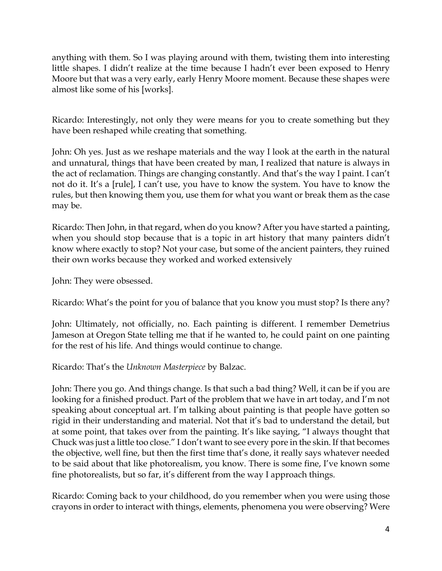anything with them. So I was playing around with them, twisting them into interesting little shapes. I didn't realize at the time because I hadn't ever been exposed to Henry Moore but that was a very early, early Henry Moore moment. Because these shapes were almost like some of his [works].

Ricardo: Interestingly, not only they were means for you to create something but they have been reshaped while creating that something.

John: Oh yes. Just as we reshape materials and the way I look at the earth in the natural and unnatural, things that have been created by man, I realized that nature is always in the act of reclamation. Things are changing constantly. And that's the way I paint. I can't not do it. It's a [rule], I can't use, you have to know the system. You have to know the rules, but then knowing them you, use them for what you want or break them as the case may be.

Ricardo: Then John, in that regard, when do you know? After you have started a painting, when you should stop because that is a topic in art history that many painters didn't know where exactly to stop? Not your case, but some of the ancient painters, they ruined their own works because they worked and worked extensively

John: They were obsessed.

Ricardo: What's the point for you of balance that you know you must stop? Is there any?

John: Ultimately, not officially, no. Each painting is different. I remember Demetrius Jameson at Oregon State telling me that if he wanted to, he could paint on one painting for the rest of his life. And things would continue to change.

Ricardo: That's the *Unknown Masterpiece* by Balzac.

John: There you go. And things change. Is that such a bad thing? Well, it can be if you are looking for a finished product. Part of the problem that we have in art today, and I'm not speaking about conceptual art. I'm talking about painting is that people have gotten so rigid in their understanding and material. Not that it's bad to understand the detail, but at some point, that takes over from the painting. It's like saying, "I always thought that Chuck was just a little too close." I don't want to see every pore in the skin. If that becomes the objective, well fine, but then the first time that's done, it really says whatever needed to be said about that like photorealism, you know. There is some fine, I've known some fine photorealists, but so far, it's different from the way I approach things.

Ricardo: Coming back to your childhood, do you remember when you were using those crayons in order to interact with things, elements, phenomena you were observing? Were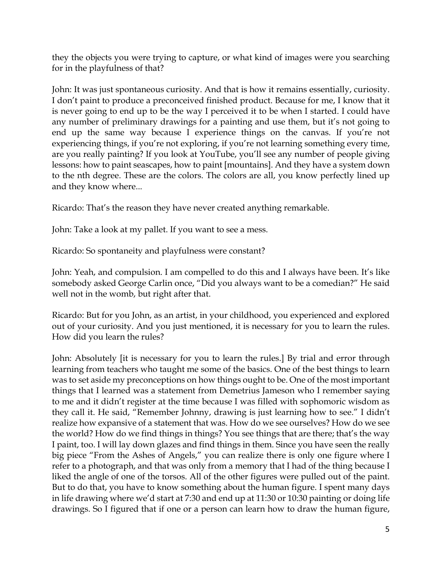they the objects you were trying to capture, or what kind of images were you searching for in the playfulness of that?

John: It was just spontaneous curiosity. And that is how it remains essentially, curiosity. I don't paint to produce a preconceived finished product. Because for me, I know that it is never going to end up to be the way I perceived it to be when I started. I could have any number of preliminary drawings for a painting and use them, but it's not going to end up the same way because I experience things on the canvas. If you're not experiencing things, if you're not exploring, if you're not learning something every time, are you really painting? If you look at YouTube, you'll see any number of people giving lessons: how to paint seascapes, how to paint [mountains]. And they have a system down to the nth degree. These are the colors. The colors are all, you know perfectly lined up and they know where...

Ricardo: That's the reason they have never created anything remarkable.

John: Take a look at my pallet. If you want to see a mess.

Ricardo: So spontaneity and playfulness were constant?

John: Yeah, and compulsion. I am compelled to do this and I always have been. It's like somebody asked George Carlin once, "Did you always want to be a comedian?" He said well not in the womb, but right after that.

Ricardo: But for you John, as an artist, in your childhood, you experienced and explored out of your curiosity. And you just mentioned, it is necessary for you to learn the rules. How did you learn the rules?

John: Absolutely [it is necessary for you to learn the rules.] By trial and error through learning from teachers who taught me some of the basics. One of the best things to learn was to set aside my preconceptions on how things ought to be. One of the most important things that I learned was a statement from Demetrius Jameson who I remember saying to me and it didn't register at the time because I was filled with sophomoric wisdom as they call it. He said, "Remember Johnny, drawing is just learning how to see." I didn't realize how expansive of a statement that was. How do we see ourselves? How do we see the world? How do we find things in things? You see things that are there; that's the way I paint, too. I will lay down glazes and find things in them. Since you have seen the really big piece "From the Ashes of Angels," you can realize there is only one figure where I refer to a photograph, and that was only from a memory that I had of the thing because I liked the angle of one of the torsos. All of the other figures were pulled out of the paint. But to do that, you have to know something about the human figure. I spent many days in life drawing where we'd start at 7:30 and end up at 11:30 or 10:30 painting or doing life drawings. So I figured that if one or a person can learn how to draw the human figure,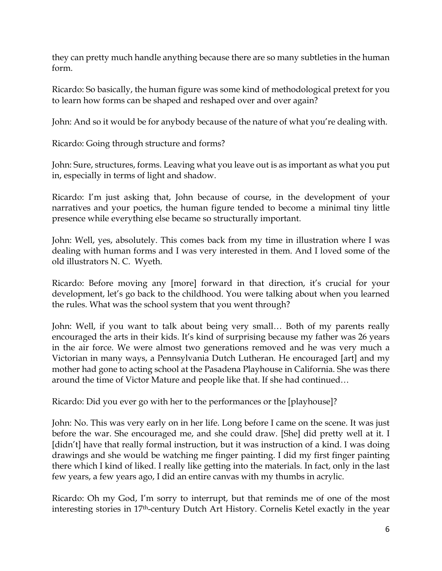they can pretty much handle anything because there are so many subtleties in the human form.

Ricardo: So basically, the human figure was some kind of methodological pretext for you to learn how forms can be shaped and reshaped over and over again?

John: And so it would be for anybody because of the nature of what you're dealing with.

Ricardo: Going through structure and forms?

John: Sure, structures, forms. Leaving what you leave out is as important as what you put in, especially in terms of light and shadow.

Ricardo: I'm just asking that, John because of course, in the development of your narratives and your poetics, the human figure tended to become a minimal tiny little presence while everything else became so structurally important.

John: Well, yes, absolutely. This comes back from my time in illustration where I was dealing with human forms and I was very interested in them. And I loved some of the old illustrators N. C. Wyeth.

Ricardo: Before moving any [more] forward in that direction, it's crucial for your development, let's go back to the childhood. You were talking about when you learned the rules. What was the school system that you went through?

John: Well, if you want to talk about being very small… Both of my parents really encouraged the arts in their kids. It's kind of surprising because my father was 26 years in the air force. We were almost two generations removed and he was very much a Victorian in many ways, a Pennsylvania Dutch Lutheran. He encouraged [art] and my mother had gone to acting school at the Pasadena Playhouse in California. She was there around the time of Victor Mature and people like that. If she had continued…

Ricardo: Did you ever go with her to the performances or the [playhouse]?

John: No. This was very early on in her life. Long before I came on the scene. It was just before the war. She encouraged me, and she could draw. [She] did pretty well at it. I [didn't] have that really formal instruction, but it was instruction of a kind. I was doing drawings and she would be watching me finger painting. I did my first finger painting there which I kind of liked. I really like getting into the materials*.* In fact, only in the last few years, a few years ago, I did an entire canvas with my thumbs in acrylic.

Ricardo: Oh my God, I'm sorry to interrupt, but that reminds me of one of the most interesting stories in 17th-century Dutch Art History. Cornelis Ketel exactly in the year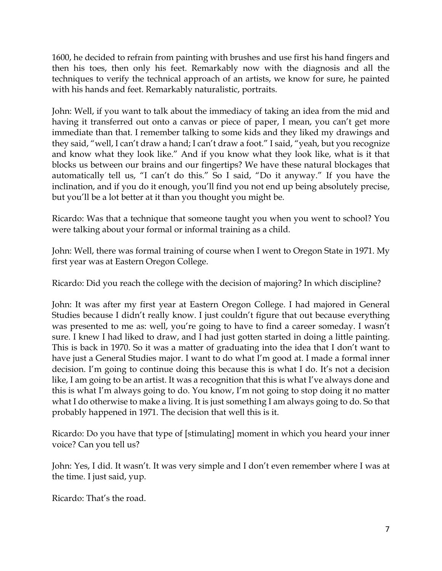1600, he decided to refrain from painting with brushes and use first his hand fingers and then his toes, then only his feet. Remarkably now with the diagnosis and all the techniques to verify the technical approach of an artists, we know for sure, he painted with his hands and feet. Remarkably naturalistic, portraits.

John: Well, if you want to talk about the immediacy of taking an idea from the mid and having it transferred out onto a canvas or piece of paper, I mean, you can't get more immediate than that. I remember talking to some kids and they liked my drawings and they said, "well, I can't draw a hand; I can't draw a foot." I said, "yeah, but you recognize and know what they look like." And if you know what they look like, what is it that blocks us between our brains and our fingertips? We have these natural blockages that automatically tell us, "I can't do this." So I said, "Do it anyway." If you have the inclination, and if you do it enough, you'll find you not end up being absolutely precise, but you'll be a lot better at it than you thought you might be.

Ricardo: Was that a technique that someone taught you when you went to school? You were talking about your formal or informal training as a child.

John: Well, there was formal training of course when I went to Oregon State in 1971. My first year was at Eastern Oregon College.

Ricardo: Did you reach the college with the decision of majoring? In which discipline?

John: It was after my first year at Eastern Oregon College. I had majored in General Studies because I didn't really know. I just couldn't figure that out because everything was presented to me as: well, you're going to have to find a career someday. I wasn't sure. I knew I had liked to draw, and I had just gotten started in doing a little painting. This is back in 1970. So it was a matter of graduating into the idea that I don't want to have just a General Studies major. I want to do what I'm good at. I made a formal inner decision. I'm going to continue doing this because this is what I do. It's not a decision like, I am going to be an artist. It was a recognition that this is what I've always done and this is what I'm always going to do. You know, I'm not going to stop doing it no matter what I do otherwise to make a living. It is just something I am always going to do. So that probably happened in 1971. The decision that well this is it.

Ricardo: Do you have that type of [stimulating] moment in which you heard your inner voice? Can you tell us?

John: Yes, I did. It wasn't. It was very simple and I don't even remember where I was at the time. I just said, yup.

Ricardo: That's the road.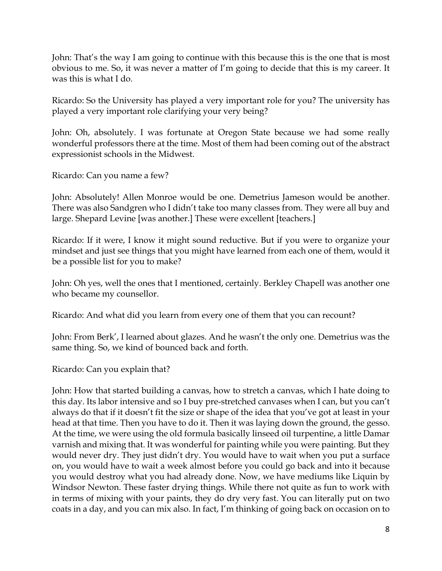John: That's the way I am going to continue with this because this is the one that is most obvious to me. So, it was never a matter of I'm going to decide that this is my career. It was this is what I do.

Ricardo: So the University has played a very important role for you? The university has played a very important role clarifying your very being?

John: Oh, absolutely. I was fortunate at Oregon State because we had some really wonderful professors there at the time. Most of them had been coming out of the abstract expressionist schools in the Midwest.

Ricardo: Can you name a few?

John: Absolutely! Allen Monroe would be one. Demetrius Jameson would be another. There was also Sandgren who I didn't take too many classes from. They were all buy and large. Shepard Levine [was another.] These were excellent [teachers.]

Ricardo: If it were, I know it might sound reductive. But if you were to organize your mindset and just see things that you might have learned from each one of them, would it be a possible list for you to make?

John: Oh yes, well the ones that I mentioned, certainly. Berkley Chapell was another one who became my counsellor.

Ricardo: And what did you learn from every one of them that you can recount?

John: From Berk', I learned about glazes. And he wasn't the only one. Demetrius was the same thing. So, we kind of bounced back and forth.

Ricardo: Can you explain that?

John: How that started building a canvas, how to stretch a canvas, which I hate doing to this day. Its labor intensive and so I buy pre-stretched canvases when I can, but you can't always do that if it doesn't fit the size or shape of the idea that you've got at least in your head at that time. Then you have to do it. Then it was laying down the ground, the gesso. At the time, we were using the old formula basically linseed oil turpentine, a little Damar varnish and mixing that. It was wonderful for painting while you were painting. But they would never dry. They just didn't dry. You would have to wait when you put a surface on, you would have to wait a week almost before you could go back and into it because you would destroy what you had already done. Now, we have mediums like Liquin by Windsor Newton. These faster drying things. While there not quite as fun to work with in terms of mixing with your paints, they do dry very fast. You can literally put on two coats in a day, and you can mix also. In fact, I'm thinking of going back on occasion on to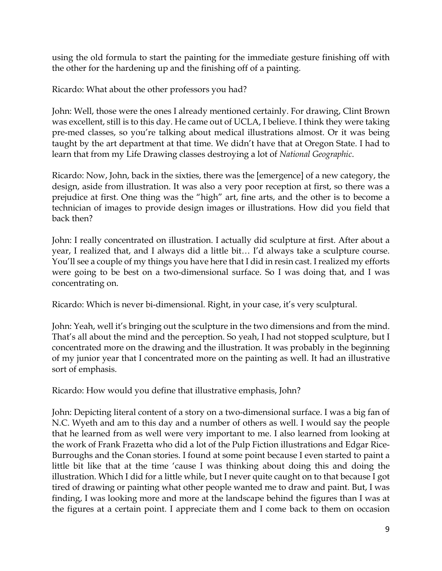using the old formula to start the painting for the immediate gesture finishing off with the other for the hardening up and the finishing off of a painting.

Ricardo: What about the other professors you had?

John: Well, those were the ones I already mentioned certainly. For drawing, Clint Brown was excellent, still is to this day. He came out of UCLA, I believe. I think they were taking pre-med classes, so you're talking about medical illustrations almost. Or it was being taught by the art department at that time. We didn't have that at Oregon State. I had to learn that from my Life Drawing classes destroying a lot of *National Geographic*.

Ricardo: Now, John, back in the sixties, there was the [emergence] of a new category, the design, aside from illustration. It was also a very poor reception at first, so there was a prejudice at first. One thing was the "high" art, fine arts, and the other is to become a technician of images to provide design images or illustrations. How did you field that back then?

John: I really concentrated on illustration. I actually did sculpture at first. After about a year, I realized that, and I always did a little bit… I'd always take a sculpture course. You'll see a couple of my things you have here that I did in resin cast. I realized my efforts were going to be best on a two-dimensional surface. So I was doing that, and I was concentrating on.

Ricardo: Which is never bi-dimensional. Right, in your case, it's very sculptural.

John: Yeah, well it's bringing out the sculpture in the two dimensions and from the mind. That's all about the mind and the perception. So yeah, I had not stopped sculpture, but I concentrated more on the drawing and the illustration. It was probably in the beginning of my junior year that I concentrated more on the painting as well. It had an illustrative sort of emphasis.

Ricardo: How would you define that illustrative emphasis, John?

John: Depicting literal content of a story on a two-dimensional surface. I was a big fan of N.C. Wyeth and am to this day and a number of others as well. I would say the people that he learned from as well were very important to me. I also learned from looking at the work of Frank Frazetta who did a lot of the Pulp Fiction illustrations and Edgar Rice-Burroughs and the Conan stories. I found at some point because I even started to paint a little bit like that at the time 'cause I was thinking about doing this and doing the illustration. Which I did for a little while, but I never quite caught on to that because I got tired of drawing or painting what other people wanted me to draw and paint. But, I was finding, I was looking more and more at the landscape behind the figures than I was at the figures at a certain point. I appreciate them and I come back to them on occasion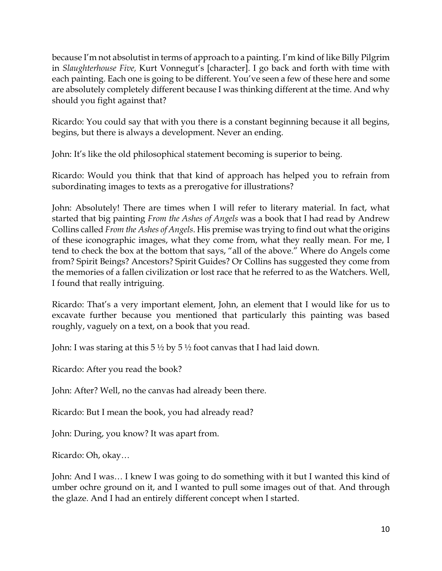because I'm not absolutist in terms of approach to a painting. I'm kind of like Billy Pilgrim in *Slaughterhouse Five,* Kurt Vonnegut's [character]. I go back and forth with time with each painting. Each one is going to be different. You've seen a few of these here and some are absolutely completely different because I was thinking different at the time. And why should you fight against that?

Ricardo: You could say that with you there is a constant beginning because it all begins, begins, but there is always a development. Never an ending.

John: It's like the old philosophical statement becoming is superior to being.

Ricardo: Would you think that that kind of approach has helped you to refrain from subordinating images to texts as a prerogative for illustrations?

John: Absolutely! There are times when I will refer to literary material. In fact, what started that big painting *From the Ashes of Angels* was a book that I had read by Andrew Collins called *From the Ashes of Angels*. His premise was trying to find out what the origins of these iconographic images, what they come from, what they really mean. For me, I tend to check the box at the bottom that says, "all of the above." Where do Angels come from? Spirit Beings? Ancestors? Spirit Guides? Or Collins has suggested they come from the memories of a fallen civilization or lost race that he referred to as the Watchers. Well, I found that really intriguing.

Ricardo: That's a very important element, John, an element that I would like for us to excavate further because you mentioned that particularly this painting was based roughly, vaguely on a text, on a book that you read.

John: I was staring at this 5  $\frac{1}{2}$  by 5  $\frac{1}{2}$  foot canvas that I had laid down.

Ricardo: After you read the book?

John: After? Well, no the canvas had already been there.

Ricardo: But I mean the book, you had already read?

John: During, you know? It was apart from.

Ricardo: Oh, okay…

John: And I was… I knew I was going to do something with it but I wanted this kind of umber ochre ground on it, and I wanted to pull some images out of that. And through the glaze. And I had an entirely different concept when I started.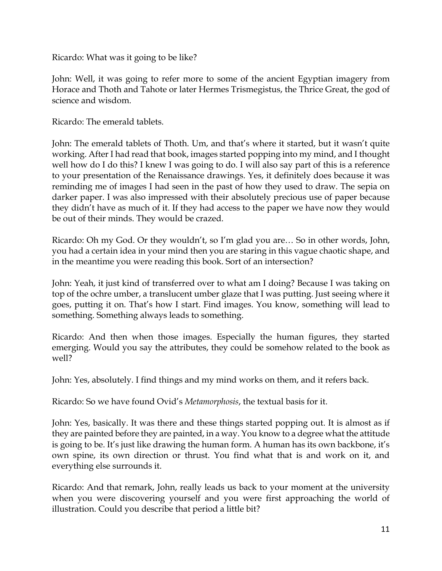Ricardo: What was it going to be like?

John: Well, it was going to refer more to some of the ancient Egyptian imagery from Horace and Thoth and Tahote or later Hermes Trismegistus, the Thrice Great, the god of science and wisdom.

Ricardo: The emerald tablets.

John: The emerald tablets of Thoth. Um, and that's where it started, but it wasn't quite working. After I had read that book, images started popping into my mind, and I thought well how do I do this? I knew I was going to do. I will also say part of this is a reference to your presentation of the Renaissance drawings. Yes, it definitely does because it was reminding me of images I had seen in the past of how they used to draw. The sepia on darker paper. I was also impressed with their absolutely precious use of paper because they didn't have as much of it. If they had access to the paper we have now they would be out of their minds. They would be crazed.

Ricardo: Oh my God. Or they wouldn't, so I'm glad you are… So in other words, John, you had a certain idea in your mind then you are staring in this vague chaotic shape, and in the meantime you were reading this book. Sort of an intersection?

John: Yeah, it just kind of transferred over to what am I doing? Because I was taking on top of the ochre umber, a translucent umber glaze that I was putting. Just seeing where it goes, putting it on. That's how I start. Find images. You know, something will lead to something. Something always leads to something.

Ricardo: And then when those images. Especially the human figures, they started emerging. Would you say the attributes, they could be somehow related to the book as well?

John: Yes, absolutely. I find things and my mind works on them, and it refers back.

Ricardo: So we have found Ovid's *Metamorphosis*, the textual basis for it.

John: Yes, basically. It was there and these things started popping out. It is almost as if they are painted before they are painted, in a way. You know to a degree what the attitude is going to be. It's just like drawing the human form. A human has its own backbone, it's own spine, its own direction or thrust. You find what that is and work on it, and everything else surrounds it.

Ricardo: And that remark, John, really leads us back to your moment at the university when you were discovering yourself and you were first approaching the world of illustration. Could you describe that period a little bit?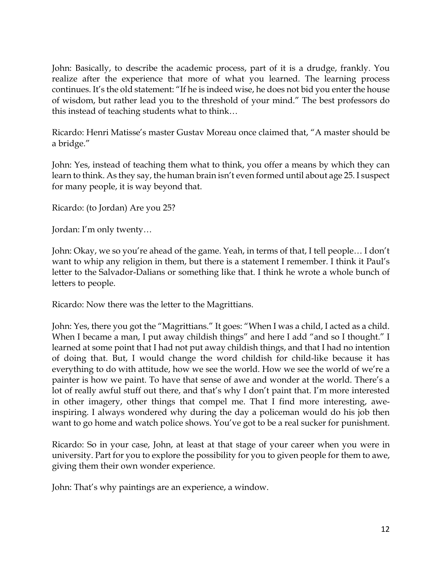John: Basically, to describe the academic process, part of it is a drudge, frankly. You realize after the experience that more of what you learned. The learning process continues. It's the old statement: "If he is indeed wise, he does not bid you enter the house of wisdom, but rather lead you to the threshold of your mind." The best professors do this instead of teaching students what to think…

Ricardo: Henri Matisse's master Gustav Moreau once claimed that, "A master should be a bridge."

John: Yes, instead of teaching them what to think, you offer a means by which they can learn to think. As they say, the human brain isn't even formed until about age 25. I suspect for many people, it is way beyond that.

Ricardo: (to Jordan) Are you 25?

Jordan: I'm only twenty…

John: Okay, we so you're ahead of the game. Yeah, in terms of that, I tell people… I don't want to whip any religion in them, but there is a statement I remember. I think it Paul's letter to the Salvador-Dalians or something like that. I think he wrote a whole bunch of letters to people.

Ricardo: Now there was the letter to the Magrittians.

John: Yes, there you got the "Magrittians." It goes: "When I was a child, I acted as a child. When I became a man, I put away childish things" and here I add "and so I thought." I learned at some point that I had not put away childish things, and that I had no intention of doing that. But, I would change the word childish for child-like because it has everything to do with attitude, how we see the world. How we see the world of we're a painter is how we paint. To have that sense of awe and wonder at the world. There's a lot of really awful stuff out there, and that's why I don't paint that. I'm more interested in other imagery, other things that compel me. That I find more interesting, aweinspiring. I always wondered why during the day a policeman would do his job then want to go home and watch police shows. You've got to be a real sucker for punishment.

Ricardo: So in your case, John, at least at that stage of your career when you were in university. Part for you to explore the possibility for you to given people for them to awe, giving them their own wonder experience.

John: That's why paintings are an experience, a window.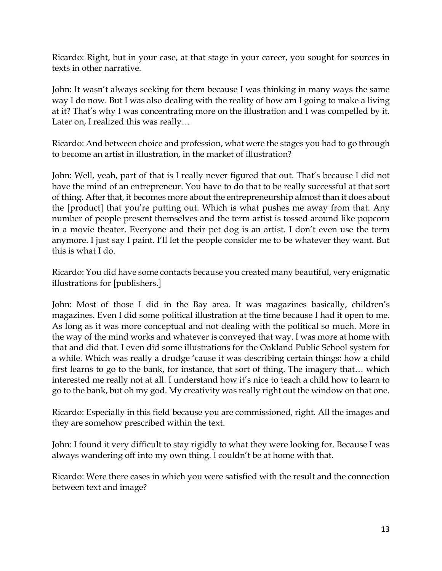Ricardo: Right, but in your case, at that stage in your career, you sought for sources in texts in other narrative.

John: It wasn't always seeking for them because I was thinking in many ways the same way I do now. But I was also dealing with the reality of how am I going to make a living at it? That's why I was concentrating more on the illustration and I was compelled by it. Later on, I realized this was really…

Ricardo: And between choice and profession, what were the stages you had to go through to become an artist in illustration, in the market of illustration?

John: Well, yeah, part of that is I really never figured that out. That's because I did not have the mind of an entrepreneur. You have to do that to be really successful at that sort of thing. After that, it becomes more about the entrepreneurship almost than it does about the [product] that you're putting out. Which is what pushes me away from that. Any number of people present themselves and the term artist is tossed around like popcorn in a movie theater. Everyone and their pet dog is an artist. I don't even use the term anymore. I just say I paint. I'll let the people consider me to be whatever they want. But this is what I do.

Ricardo: You did have some contacts because you created many beautiful, very enigmatic illustrations for [publishers.]

John: Most of those I did in the Bay area. It was magazines basically, children's magazines. Even I did some political illustration at the time because I had it open to me. As long as it was more conceptual and not dealing with the political so much. More in the way of the mind works and whatever is conveyed that way. I was more at home with that and did that. I even did some illustrations for the Oakland Public School system for a while. Which was really a drudge 'cause it was describing certain things: how a child first learns to go to the bank, for instance, that sort of thing. The imagery that… which interested me really not at all. I understand how it's nice to teach a child how to learn to go to the bank, but oh my god. My creativity was really right out the window on that one.

Ricardo: Especially in this field because you are commissioned, right. All the images and they are somehow prescribed within the text.

John: I found it very difficult to stay rigidly to what they were looking for. Because I was always wandering off into my own thing. I couldn't be at home with that.

Ricardo: Were there cases in which you were satisfied with the result and the connection between text and image?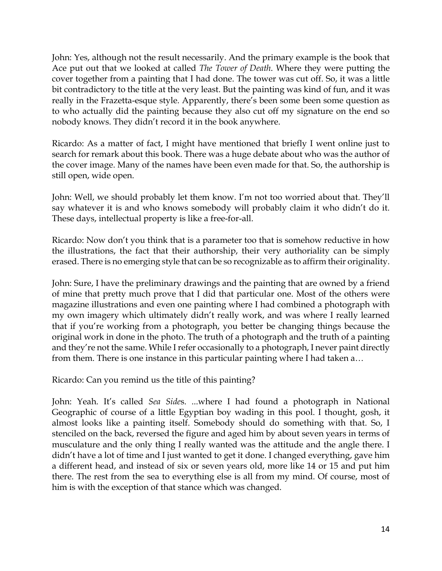John: Yes, although not the result necessarily. And the primary example is the book that Ace put out that we looked at called *The Tower of Death*. Where they were putting the cover together from a painting that I had done. The tower was cut off. So, it was a little bit contradictory to the title at the very least. But the painting was kind of fun, and it was really in the Frazetta-esque style. Apparently, there's been some been some question as to who actually did the painting because they also cut off my signature on the end so nobody knows. They didn't record it in the book anywhere.

Ricardo: As a matter of fact, I might have mentioned that briefly I went online just to search for remark about this book. There was a huge debate about who was the author of the cover image. Many of the names have been even made for that. So, the authorship is still open, wide open.

John: Well, we should probably let them know. I'm not too worried about that. They'll say whatever it is and who knows somebody will probably claim it who didn't do it. These days, intellectual property is like a free-for-all.

Ricardo: Now don't you think that is a parameter too that is somehow reductive in how the illustrations, the fact that their authorship, their very authoriality can be simply erased. There is no emerging style that can be so recognizable as to affirm their originality.

John: Sure, I have the preliminary drawings and the painting that are owned by a friend of mine that pretty much prove that I did that particular one. Most of the others were magazine illustrations and even one painting where I had combined a photograph with my own imagery which ultimately didn't really work, and was where I really learned that if you're working from a photograph, you better be changing things because the original work in done in the photo. The truth of a photograph and the truth of a painting and they're not the same. While I refer occasionally to a photograph, I never paint directly from them. There is one instance in this particular painting where I had taken a…

Ricardo: Can you remind us the title of this painting?

John: Yeah. It's called *Sea Side*s. ...where I had found a photograph in National Geographic of course of a little Egyptian boy wading in this pool. I thought, gosh, it almost looks like a painting itself. Somebody should do something with that. So, I stenciled on the back, reversed the figure and aged him by about seven years in terms of musculature and the only thing I really wanted was the attitude and the angle there. I didn't have a lot of time and I just wanted to get it done. I changed everything, gave him a different head, and instead of six or seven years old, more like 14 or 15 and put him there. The rest from the sea to everything else is all from my mind. Of course, most of him is with the exception of that stance which was changed.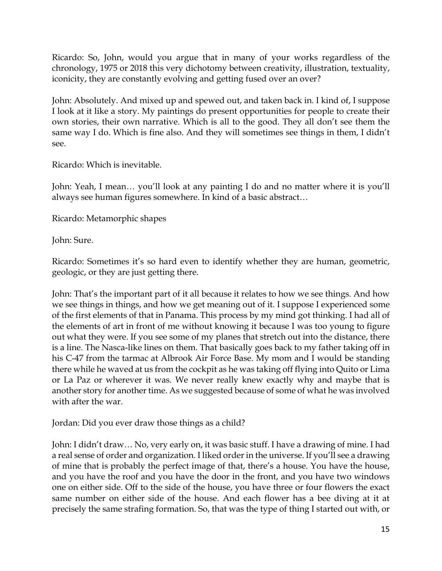Ricardo: So, John, would you argue that in many of your works regardless of the chronology, 1975 or 2018 this very dichotomy between creativity, illustration, textuality, iconicity, they are constantly evolving and getting fused over an over?

John: Absolutely. And mixed up and spewed out, and taken back in. I kind of, I suppose I look at it like a story. My paintings do present opportunities for people to create their own stories, their own narrative. Which is all to the good. They all don't see them the same way I do. Which is fine also. And they will sometimes see things in them, I didn't see.

Ricardo: Which is inevitable.

John: Yeah, I mean… you'll look at any painting I do and no matter where it is you'll always see human figures somewhere. In kind of a basic abstract…

Ricardo: Metamorphic shapes

John: Sure.

Ricardo: Sometimes it's so hard even to identify whether they are human, geometric, geologic, or they are just getting there.

John: That's the important part of it all because it relates to how we see things. And how we see things in things, and how we get meaning out of it. I suppose I experienced some of the first elements of that in Panama. This process by my mind got thinking. I had all of the elements of art in front of me without knowing it because I was too young to figure out what they were. If you see some of my planes that stretch out into the distance, there is a line. The Nasca-like lines on them. That basically goes back to my father taking off in his C-47 from the tarmac at Albrook Air Force Base. My mom and I would be standing there while he waved at us from the cockpit as he was taking off flying into Quito or Lima or La Paz or wherever it was. We never really knew exactly why and maybe that is another story for another time. As we suggested because of some of what he was involved with after the war.

Jordan: Did you ever draw those things as a child?

John: I didn't draw… No, very early on, it was basic stuff. I have a drawing of mine. I had a real sense of order and organization. I liked order in the universe. If you'll see a drawing of mine that is probably the perfect image of that, there's a house. You have the house, and you have the roof and you have the door in the front, and you have two windows one on either side. Off to the side of the house, you have three or four flowers the exact same number on either side of the house. And each flower has a bee diving at it at precisely the same strafing formation. So, that was the type of thing I started out with, or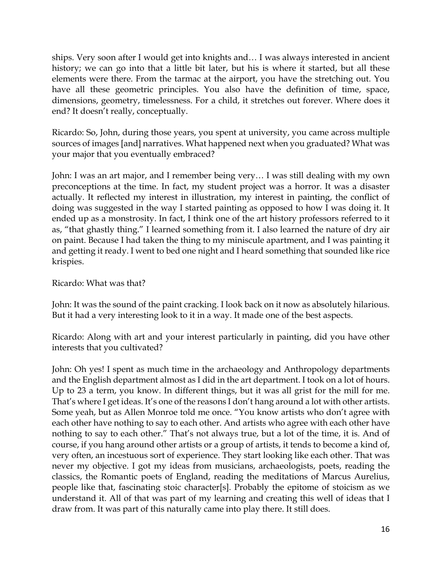ships. Very soon after I would get into knights and… I was always interested in ancient history; we can go into that a little bit later, but his is where it started, but all these elements were there. From the tarmac at the airport, you have the stretching out. You have all these geometric principles. You also have the definition of time, space, dimensions, geometry, timelessness. For a child, it stretches out forever. Where does it end? It doesn't really, conceptually.

Ricardo: So, John, during those years, you spent at university, you came across multiple sources of images [and] narratives. What happened next when you graduated? What was your major that you eventually embraced?

John: I was an art major, and I remember being very… I was still dealing with my own preconceptions at the time. In fact, my student project was a horror. It was a disaster actually. It reflected my interest in illustration, my interest in painting, the conflict of doing was suggested in the way I started painting as opposed to how I was doing it. It ended up as a monstrosity. In fact, I think one of the art history professors referred to it as, "that ghastly thing." I learned something from it. I also learned the nature of dry air on paint. Because I had taken the thing to my miniscule apartment, and I was painting it and getting it ready. I went to bed one night and I heard something that sounded like rice krispies.

Ricardo: What was that?

John: It was the sound of the paint cracking. I look back on it now as absolutely hilarious. But it had a very interesting look to it in a way. It made one of the best aspects.

Ricardo: Along with art and your interest particularly in painting, did you have other interests that you cultivated?

John: Oh yes! I spent as much time in the archaeology and Anthropology departments and the English department almost as I did in the art department. I took on a lot of hours. Up to 23 a term, you know. In different things, but it was all grist for the mill for me. That's where I get ideas. It's one of the reasons I don't hang around a lot with other artists. Some yeah, but as Allen Monroe told me once. "You know artists who don't agree with each other have nothing to say to each other. And artists who agree with each other have nothing to say to each other." That's not always true, but a lot of the time, it is. And of course, if you hang around other artists or a group of artists, it tends to become a kind of, very often, an incestuous sort of experience. They start looking like each other. That was never my objective. I got my ideas from musicians, archaeologists, poets, reading the classics, the Romantic poets of England, reading the meditations of Marcus Aurelius, people like that, fascinating stoic character[s]. Probably the epitome of stoicism as we understand it. All of that was part of my learning and creating this well of ideas that I draw from. It was part of this naturally came into play there. It still does.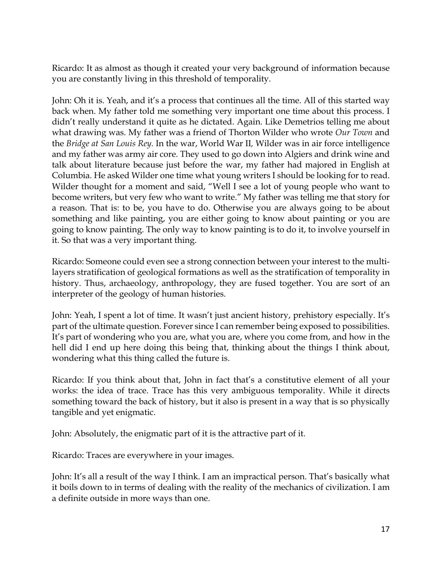Ricardo: It as almost as though it created your very background of information because you are constantly living in this threshold of temporality.

John: Oh it is. Yeah, and it's a process that continues all the time. All of this started way back when. My father told me something very important one time about this process. I didn't really understand it quite as he dictated. Again. Like Demetrios telling me about what drawing was. My father was a friend of Thorton Wilder who wrote *Our Town* and the *Bridge at San Louis Rey.* In the war, World War II*,* Wilder was in air force intelligence and my father was army air core*.* They used to go down into Algiers and drink wine and talk about literature because just before the war, my father had majored in English at Columbia. He asked Wilder one time what young writers I should be looking for to read. Wilder thought for a moment and said, "Well I see a lot of young people who want to become writers, but very few who want to write." My father was telling me that story for a reason. That is: to be, you have to do. Otherwise you are always going to be about something and like painting, you are either going to know about painting or you are going to know painting. The only way to know painting is to do it, to involve yourself in it. So that was a very important thing.

Ricardo: Someone could even see a strong connection between your interest to the multilayers stratification of geological formations as well as the stratification of temporality in history. Thus, archaeology, anthropology, they are fused together. You are sort of an interpreter of the geology of human histories.

John: Yeah, I spent a lot of time. It wasn't just ancient history, prehistory especially. It's part of the ultimate question. Forever since I can remember being exposed to possibilities. It's part of wondering who you are, what you are, where you come from, and how in the hell did I end up here doing this being that, thinking about the things I think about, wondering what this thing called the future is.

Ricardo: If you think about that, John in fact that's a constitutive element of all your works: the idea of trace. Trace has this very ambiguous temporality. While it directs something toward the back of history, but it also is present in a way that is so physically tangible and yet enigmatic.

John: Absolutely, the enigmatic part of it is the attractive part of it.

Ricardo: Traces are everywhere in your images.

John: It's all a result of the way I think. I am an impractical person. That's basically what it boils down to in terms of dealing with the reality of the mechanics of civilization. I am a definite outside in more ways than one.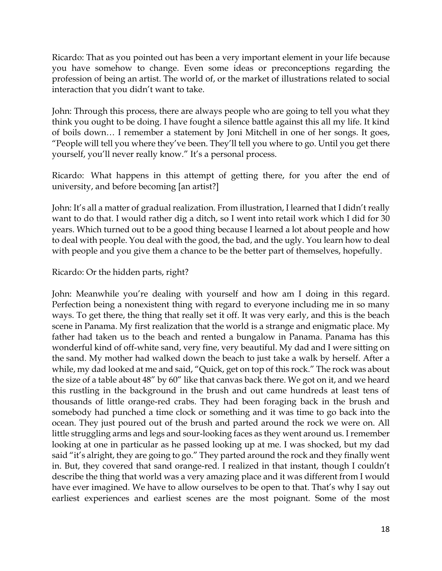Ricardo: That as you pointed out has been a very important element in your life because you have somehow to change. Even some ideas or preconceptions regarding the profession of being an artist. The world of, or the market of illustrations related to social interaction that you didn't want to take.

John: Through this process, there are always people who are going to tell you what they think you ought to be doing. I have fought a silence battle against this all my life. It kind of boils down… I remember a statement by Joni Mitchell in one of her songs. It goes, "People will tell you where they've been. They'll tell you where to go. Until you get there yourself, you'll never really know." It's a personal process.

Ricardo: What happens in this attempt of getting there, for you after the end of university, and before becoming [an artist?]

John: It's all a matter of gradual realization. From illustration, I learned that I didn't really want to do that. I would rather dig a ditch, so I went into retail work which I did for 30 years. Which turned out to be a good thing because I learned a lot about people and how to deal with people. You deal with the good, the bad, and the ugly. You learn how to deal with people and you give them a chance to be the better part of themselves, hopefully.

### Ricardo: Or the hidden parts, right?

John: Meanwhile you're dealing with yourself and how am I doing in this regard. Perfection being a nonexistent thing with regard to everyone including me in so many ways. To get there, the thing that really set it off. It was very early, and this is the beach scene in Panama. My first realization that the world is a strange and enigmatic place. My father had taken us to the beach and rented a bungalow in Panama. Panama has this wonderful kind of off-white sand, very fine, very beautiful. My dad and I were sitting on the sand. My mother had walked down the beach to just take a walk by herself. After a while, my dad looked at me and said, "Quick, get on top of this rock." The rock was about the size of a table about 48" by 60" like that canvas back there. We got on it, and we heard this rustling in the background in the brush and out came hundreds at least tens of thousands of little orange-red crabs. They had been foraging back in the brush and somebody had punched a time clock or something and it was time to go back into the ocean. They just poured out of the brush and parted around the rock we were on. All little struggling arms and legs and sour-looking faces as they went around us. I remember looking at one in particular as he passed looking up at me. I was shocked, but my dad said "it's alright, they are going to go." They parted around the rock and they finally went in. But, they covered that sand orange-red. I realized in that instant, though I couldn't describe the thing that world was a very amazing place and it was different from I would have ever imagined. We have to allow ourselves to be open to that. That's why I say out earliest experiences and earliest scenes are the most poignant. Some of the most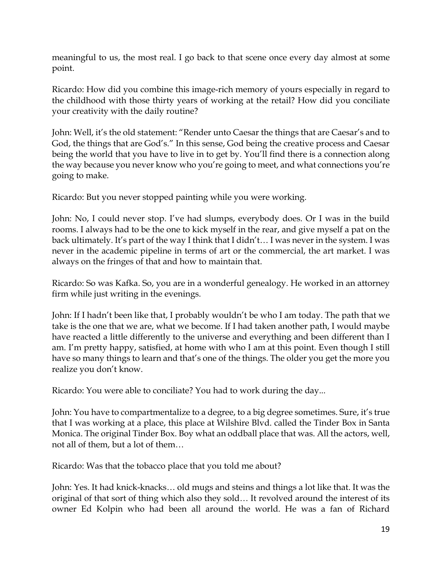meaningful to us, the most real. I go back to that scene once every day almost at some point.

Ricardo: How did you combine this image-rich memory of yours especially in regard to the childhood with those thirty years of working at the retail? How did you conciliate your creativity with the daily routine?

John: Well, it's the old statement: "Render unto Caesar the things that are Caesar's and to God, the things that are God's." In this sense, God being the creative process and Caesar being the world that you have to live in to get by. You'll find there is a connection along the way because you never know who you're going to meet, and what connections you're going to make.

Ricardo: But you never stopped painting while you were working.

John: No, I could never stop. I've had slumps, everybody does. Or I was in the build rooms. I always had to be the one to kick myself in the rear, and give myself a pat on the back ultimately. It's part of the way I think that I didn't… I was never in the system. I was never in the academic pipeline in terms of art or the commercial, the art market. I was always on the fringes of that and how to maintain that.

Ricardo: So was Kafka. So, you are in a wonderful genealogy. He worked in an attorney firm while just writing in the evenings.

John: If I hadn't been like that, I probably wouldn't be who I am today. The path that we take is the one that we are, what we become. If I had taken another path, I would maybe have reacted a little differently to the universe and everything and been different than I am. I'm pretty happy, satisfied, at home with who I am at this point. Even though I still have so many things to learn and that's one of the things. The older you get the more you realize you don't know.

Ricardo: You were able to conciliate? You had to work during the day...

John: You have to compartmentalize to a degree, to a big degree sometimes. Sure, it's true that I was working at a place, this place at Wilshire Blvd. called the Tinder Box in Santa Monica. The original Tinder Box. Boy what an oddball place that was. All the actors, well, not all of them, but a lot of them…

Ricardo: Was that the tobacco place that you told me about?

John: Yes. It had knick-knacks… old mugs and steins and things a lot like that. It was the original of that sort of thing which also they sold… It revolved around the interest of its owner Ed Kolpin who had been all around the world. He was a fan of Richard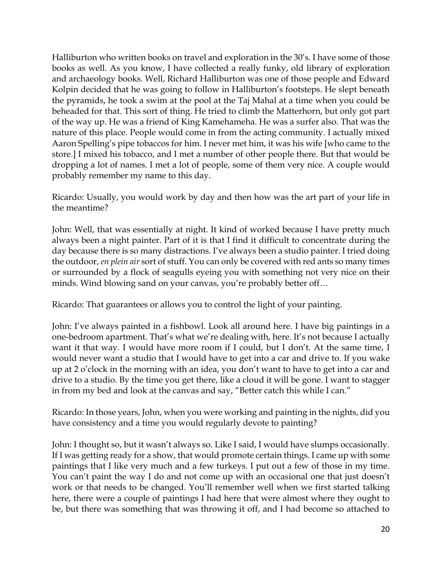Halliburton who written books on travel and exploration in the 30's. I have some of those books as well. As you know, I have collected a really funky, old library of exploration and archaeology books. Well, Richard Halliburton was one of those people and Edward Kolpin decided that he was going to follow in Halliburton's footsteps. He slept beneath the pyramids, he took a swim at the pool at the Taj Mahal at a time when you could be beheaded for that. This sort of thing. He tried to climb the Matterhorn, but only got part of the way up. He was a friend of King Kamehameha. He was a surfer also. That was the nature of this place. People would come in from the acting community. I actually mixed Aaron Spelling's pipe tobaccos for him. I never met him, it was his wife [who came to the store.] I mixed his tobacco, and I met a number of other people there. But that would be dropping a lot of names. I met a lot of people, some of them very nice. A couple would probably remember my name to this day.

Ricardo: Usually, you would work by day and then how was the art part of your life in the meantime?

John: Well, that was essentially at night. It kind of worked because I have pretty much always been a night painter. Part of it is that I find it difficult to concentrate during the day because there is so many distractions. I've always been a studio painter. I tried doing the outdoor, *en plein air* sort of stuff. You can only be covered with red ants so many times or surrounded by a flock of seagulls eyeing you with something not very nice on their minds. Wind blowing sand on your canvas, you're probably better off…

Ricardo: That guarantees or allows you to control the light of your painting.

John: I've always painted in a fishbowl. Look all around here. I have big paintings in a one-bedroom apartment. That's what we're dealing with, here. It's not because I actually want it that way. I would have more room if I could, but I don't. At the same time, I would never want a studio that I would have to get into a car and drive to. If you wake up at 2 o'clock in the morning with an idea, you don't want to have to get into a car and drive to a studio. By the time you get there, like a cloud it will be gone. I want to stagger in from my bed and look at the canvas and say, "Better catch this while I can."

Ricardo: In those years, John, when you were working and painting in the nights, did you have consistency and a time you would regularly devote to painting?

John: I thought so, but it wasn't always so. Like I said, I would have slumps occasionally. If I was getting ready for a show, that would promote certain things. I came up with some paintings that I like very much and a few turkeys. I put out a few of those in my time. You can't paint the way I do and not come up with an occasional one that just doesn't work or that needs to be changed. You'll remember well when we first started talking here, there were a couple of paintings I had here that were almost where they ought to be, but there was something that was throwing it off, and I had become so attached to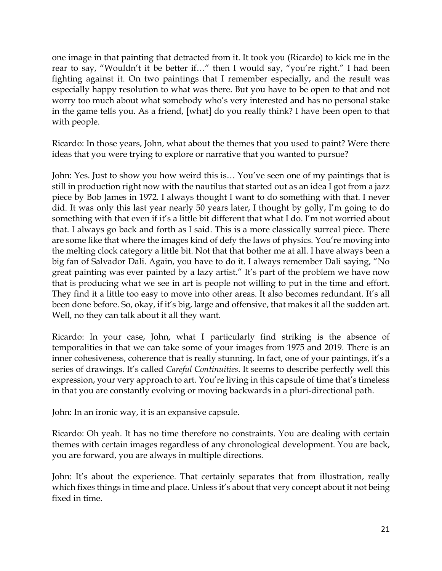one image in that painting that detracted from it. It took you (Ricardo) to kick me in the rear to say, "Wouldn't it be better if…" then I would say, "you're right." I had been fighting against it. On two paintings that I remember especially, and the result was especially happy resolution to what was there. But you have to be open to that and not worry too much about what somebody who's very interested and has no personal stake in the game tells you. As a friend, [what] do you really think? I have been open to that with people.

Ricardo: In those years, John, what about the themes that you used to paint? Were there ideas that you were trying to explore or narrative that you wanted to pursue?

John: Yes. Just to show you how weird this is… You've seen one of my paintings that is still in production right now with the nautilus that started out as an idea I got from a jazz piece by Bob James in 1972. I always thought I want to do something with that. I never did. It was only this last year nearly 50 years later, I thought by golly, I'm going to do something with that even if it's a little bit different that what I do. I'm not worried about that. I always go back and forth as I said. This is a more classically surreal piece. There are some like that where the images kind of defy the laws of physics. You're moving into the melting clock category a little bit. Not that that bother me at all. I have always been a big fan of Salvador Dali. Again, you have to do it. I always remember Dali saying, "No great painting was ever painted by a lazy artist." It's part of the problem we have now that is producing what we see in art is people not willing to put in the time and effort. They find it a little too easy to move into other areas. It also becomes redundant. It's all been done before. So, okay, if it's big, large and offensive, that makes it all the sudden art. Well, no they can talk about it all they want.

Ricardo: In your case, John, what I particularly find striking is the absence of temporalities in that we can take some of your images from 1975 and 2019. There is an inner cohesiveness, coherence that is really stunning. In fact, one of your paintings, it's a series of drawings. It's called *Careful Continuities*. It seems to describe perfectly well this expression, your very approach to art. You're living in this capsule of time that's timeless in that you are constantly evolving or moving backwards in a pluri-directional path.

John: In an ironic way, it is an expansive capsule.

Ricardo: Oh yeah. It has no time therefore no constraints. You are dealing with certain themes with certain images regardless of any chronological development. You are back, you are forward, you are always in multiple directions.

John: It's about the experience. That certainly separates that from illustration, really which fixes things in time and place. Unless it's about that very concept about it not being fixed in time.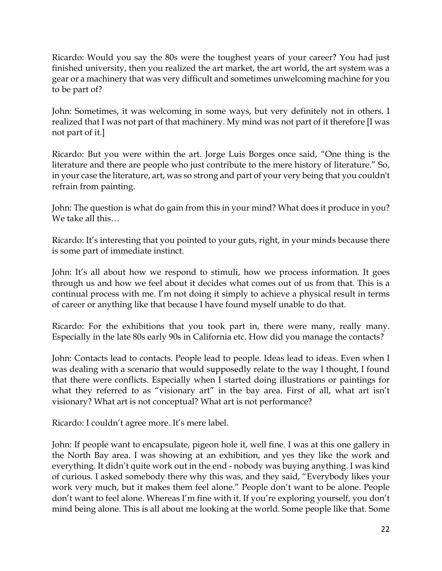Ricardo: Would you say the 80s were the toughest years of your career? You had just finished university, then you realized the art market, the art world, the art system was a gear or a machinery that was very difficult and sometimes unwelcoming machine for you to be part of?

John: Sometimes, it was welcoming in some ways, but very definitely not in others. I realized that I was not part of that machinery. My mind was not part of it therefore [I was not part of it.]

Ricardo: But you were within the art. Jorge Luis Borges once said, "One thing is the literature and there are people who just contribute to the mere history of literature." So, in your case the literature, art, was so strong and part of your very being that you couldn't refrain from painting.

John: The question is what do gain from this in your mind? What does it produce in you? We take all this…

Ricardo: It's interesting that you pointed to your guts, right, in your minds because there is some part of immediate instinct.

John: It's all about how we respond to stimuli, how we process information. It goes through us and how we feel about it decides what comes out of us from that. This is a continual process with me. I'm not doing it simply to achieve a physical result in terms of career or anything like that because I have found myself unable to do that.

Ricardo: For the exhibitions that you took part in, there were many, really many. Especially in the late 80s early 90s in California etc. How did you manage the contacts?

John: Contacts lead to contacts. People lead to people. Ideas lead to ideas. Even when I was dealing with a scenario that would supposedly relate to the way I thought, I found that there were conflicts. Especially when I started doing illustrations or paintings for what they referred to as "visionary art" in the bay area. First of all, what art isn't visionary? What art is not conceptual? What art is not performance?

Ricardo: I couldn't agree more. It's mere label.

John: If people want to encapsulate, pigeon hole it, well fine. I was at this one gallery in the North Bay area. I was showing at an exhibition, and yes they like the work and everything. It didn't quite work out in the end - nobody was buying anything. I was kind of curious. I asked somebody there why this was, and they said, "Everybody likes your work very much, but it makes them feel alone." People don't want to be alone. People don't want to feel alone. Whereas I'm fine with it. If you're exploring yourself, you don't mind being alone. This is all about me looking at the world. Some people like that. Some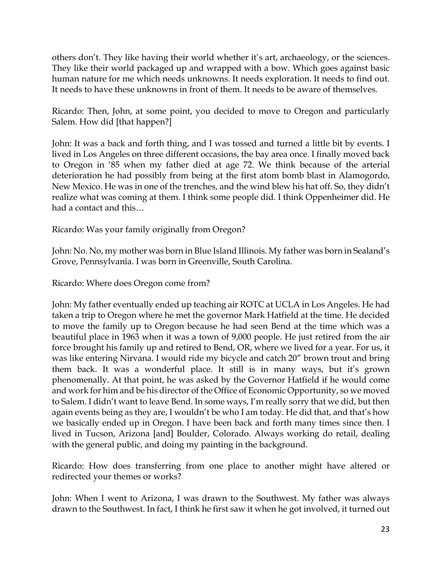others don't. They like having their world whether it's art, archaeology, or the sciences. They like their world packaged up and wrapped with a bow. Which goes against basic human nature for me which needs unknowns. It needs exploration. It needs to find out. It needs to have these unknowns in front of them. It needs to be aware of themselves.

Ricardo: Then, John, at some point, you decided to move to Oregon and particularly Salem. How did [that happen?]

John: It was a back and forth thing, and I was tossed and turned a little bit by events. I lived in Los Angeles on three different occasions, the bay area once. I finally moved back to Oregon in '85 when my father died at age 72. We think because of the arterial deterioration he had possibly from being at the first atom bomb blast in Alamogordo, New Mexico. He was in one of the trenches, and the wind blew his hat off. So, they didn't realize what was coming at them. I think some people did. I think Oppenheimer did. He had a contact and this…

Ricardo: Was your family originally from Oregon?

John: No. No, my mother was born in Blue Island Illinois. My father was born in Sealand's Grove, Pennsylvania. I was born in Greenville, South Carolina.

Ricardo: Where does Oregon come from?

John: My father eventually ended up teaching air ROTC at UCLA in Los Angeles. He had taken a trip to Oregon where he met the governor Mark Hatfield at the time. He decided to move the family up to Oregon because he had seen Bend at the time which was a beautiful place in 1963 when it was a town of 9,000 people. He just retired from the air force brought his family up and retired to Bend, OR, where we lived for a year. For us, it was like entering Nirvana. I would ride my bicycle and catch 20" brown trout and bring them back. It was a wonderful place. It still is in many ways, but it's grown phenomenally. At that point, he was asked by the Governor Hatfield if he would come and work for him and be his director of the Office of Economic Opportunity, so we moved to Salem. I didn't want to leave Bend. In some ways, I'm really sorry that we did, but then again events being as they are, I wouldn't be who I am today. He did that, and that's how we basically ended up in Oregon. I have been back and forth many times since then. I lived in Tucson, Arizona [and] Boulder, Colorado. Always working do retail, dealing with the general public, and doing my painting in the background.

Ricardo: How does transferring from one place to another might have altered or redirected your themes or works?

John: When I went to Arizona, I was drawn to the Southwest. My father was always drawn to the Southwest. In fact, I think he first saw it when he got involved, it turned out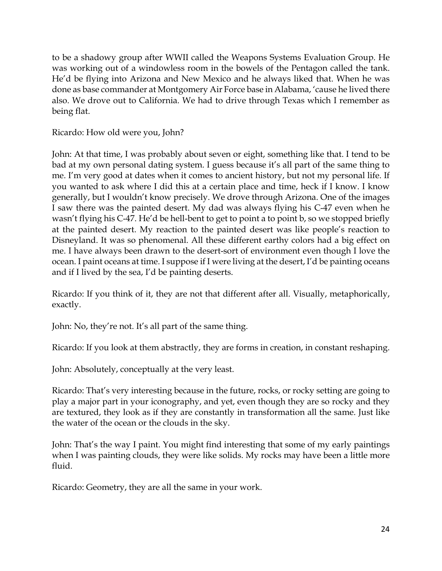to be a shadowy group after WWII called the Weapons Systems Evaluation Group. He was working out of a windowless room in the bowels of the Pentagon called the tank. He'd be flying into Arizona and New Mexico and he always liked that. When he was done as base commander at Montgomery Air Force base in Alabama, 'cause he lived there also. We drove out to California. We had to drive through Texas which I remember as being flat.

Ricardo: How old were you, John?

John: At that time, I was probably about seven or eight, something like that. I tend to be bad at my own personal dating system. I guess because it's all part of the same thing to me. I'm very good at dates when it comes to ancient history, but not my personal life. If you wanted to ask where I did this at a certain place and time, heck if I know. I know generally, but I wouldn't know precisely. We drove through Arizona. One of the images I saw there was the painted desert. My dad was always flying his C-47 even when he wasn't flying his C-47. He'd be hell-bent to get to point a to point b, so we stopped briefly at the painted desert. My reaction to the painted desert was like people's reaction to Disneyland. It was so phenomenal. All these different earthy colors had a big effect on me. I have always been drawn to the desert-sort of environment even though I love the ocean. I paint oceans at time. I suppose if I were living at the desert, I'd be painting oceans and if I lived by the sea, I'd be painting deserts.

Ricardo: If you think of it, they are not that different after all. Visually, metaphorically, exactly.

John: No, they're not. It's all part of the same thing.

Ricardo: If you look at them abstractly, they are forms in creation, in constant reshaping.

John: Absolutely, conceptually at the very least.

Ricardo: That's very interesting because in the future, rocks, or rocky setting are going to play a major part in your iconography, and yet, even though they are so rocky and they are textured, they look as if they are constantly in transformation all the same. Just like the water of the ocean or the clouds in the sky.

John: That's the way I paint. You might find interesting that some of my early paintings when I was painting clouds, they were like solids. My rocks may have been a little more fluid.

Ricardo: Geometry, they are all the same in your work.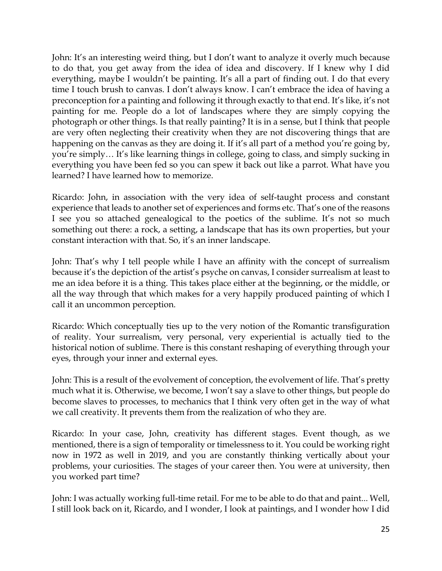John: It's an interesting weird thing, but I don't want to analyze it overly much because to do that, you get away from the idea of idea and discovery. If I knew why I did everything, maybe I wouldn't be painting. It's all a part of finding out. I do that every time I touch brush to canvas. I don't always know. I can't embrace the idea of having a preconception for a painting and following it through exactly to that end. It's like, it's not painting for me. People do a lot of landscapes where they are simply copying the photograph or other things. Is that really painting? It is in a sense, but I think that people are very often neglecting their creativity when they are not discovering things that are happening on the canvas as they are doing it. If it's all part of a method you're going by, you're simply… It's like learning things in college, going to class, and simply sucking in everything you have been fed so you can spew it back out like a parrot. What have you learned? I have learned how to memorize.

Ricardo: John, in association with the very idea of self-taught process and constant experience that leads to another set of experiences and forms etc. That's one of the reasons I see you so attached genealogical to the poetics of the sublime. It's not so much something out there: a rock, a setting, a landscape that has its own properties, but your constant interaction with that. So, it's an inner landscape.

John: That's why I tell people while I have an affinity with the concept of surrealism because it's the depiction of the artist's psyche on canvas, I consider surrealism at least to me an idea before it is a thing. This takes place either at the beginning, or the middle, or all the way through that which makes for a very happily produced painting of which I call it an uncommon perception.

Ricardo: Which conceptually ties up to the very notion of the Romantic transfiguration of reality. Your surrealism, very personal, very experiential is actually tied to the historical notion of sublime. There is this constant reshaping of everything through your eyes, through your inner and external eyes.

John: This is a result of the evolvement of conception, the evolvement of life. That's pretty much what it is. Otherwise, we become, I won't say a slave to other things, but people do become slaves to processes, to mechanics that I think very often get in the way of what we call creativity. It prevents them from the realization of who they are.

Ricardo: In your case, John, creativity has different stages. Event though, as we mentioned, there is a sign of temporality or timelessness to it. You could be working right now in 1972 as well in 2019, and you are constantly thinking vertically about your problems, your curiosities. The stages of your career then. You were at university, then you worked part time?

John: I was actually working full-time retail. For me to be able to do that and paint... Well, I still look back on it, Ricardo, and I wonder, I look at paintings, and I wonder how I did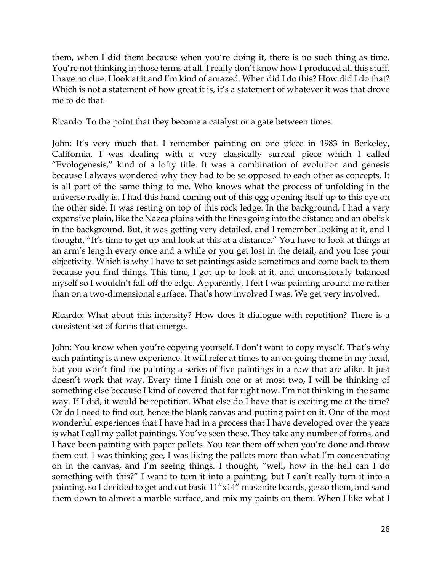them, when I did them because when you're doing it, there is no such thing as time. You're not thinking in those terms at all. I really don't know how I produced all this stuff. I have no clue. I look at it and I'm kind of amazed. When did I do this? How did I do that? Which is not a statement of how great it is, it's a statement of whatever it was that drove me to do that.

Ricardo: To the point that they become a catalyst or a gate between times.

John: It's very much that. I remember painting on one piece in 1983 in Berkeley, California. I was dealing with a very classically surreal piece which I called "Evologenesis," kind of a lofty title. It was a combination of evolution and genesis because I always wondered why they had to be so opposed to each other as concepts. It is all part of the same thing to me. Who knows what the process of unfolding in the universe really is. I had this hand coming out of this egg opening itself up to this eye on the other side. It was resting on top of this rock ledge. In the background, I had a very expansive plain, like the Nazca plains with the lines going into the distance and an obelisk in the background. But, it was getting very detailed, and I remember looking at it, and I thought, "It's time to get up and look at this at a distance." You have to look at things at an arm's length every once and a while or you get lost in the detail, and you lose your objectivity. Which is why I have to set paintings aside sometimes and come back to them because you find things. This time, I got up to look at it, and unconsciously balanced myself so I wouldn't fall off the edge. Apparently, I felt I was painting around me rather than on a two-dimensional surface. That's how involved I was. We get very involved.

Ricardo: What about this intensity? How does it dialogue with repetition? There is a consistent set of forms that emerge.

John: You know when you're copying yourself. I don't want to copy myself. That's why each painting is a new experience. It will refer at times to an on-going theme in my head, but you won't find me painting a series of five paintings in a row that are alike. It just doesn't work that way. Every time I finish one or at most two, I will be thinking of something else because I kind of covered that for right now. I'm not thinking in the same way. If I did, it would be repetition. What else do I have that is exciting me at the time? Or do I need to find out, hence the blank canvas and putting paint on it. One of the most wonderful experiences that I have had in a process that I have developed over the years is what I call my pallet paintings. You've seen these. They take any number of forms, and I have been painting with paper pallets. You tear them off when you're done and throw them out. I was thinking gee, I was liking the pallets more than what I'm concentrating on in the canvas, and I'm seeing things. I thought, "well, how in the hell can I do something with this?" I want to turn it into a painting, but I can't really turn it into a painting, so I decided to get and cut basic 11"x14" masonite boards, gesso them, and sand them down to almost a marble surface, and mix my paints on them. When I like what I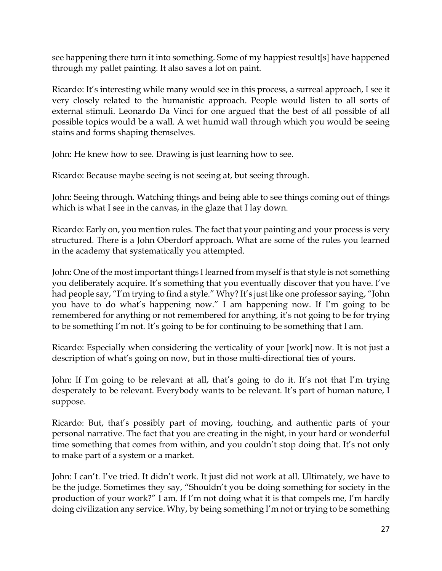see happening there turn it into something. Some of my happiest result[s] have happened through my pallet painting. It also saves a lot on paint.

Ricardo: It's interesting while many would see in this process, a surreal approach, I see it very closely related to the humanistic approach. People would listen to all sorts of external stimuli. Leonardo Da Vinci for one argued that the best of all possible of all possible topics would be a wall. A wet humid wall through which you would be seeing stains and forms shaping themselves.

John: He knew how to see. Drawing is just learning how to see.

Ricardo: Because maybe seeing is not seeing at, but seeing through.

John: Seeing through. Watching things and being able to see things coming out of things which is what I see in the canvas, in the glaze that I lay down.

Ricardo: Early on, you mention rules. The fact that your painting and your process is very structured. There is a John Oberdorf approach. What are some of the rules you learned in the academy that systematically you attempted.

John: One of the most important things I learned from myself is that style is not something you deliberately acquire. It's something that you eventually discover that you have. I've had people say, "I'm trying to find a style." Why? It's just like one professor saying, "John you have to do what's happening now." I am happening now. If I'm going to be remembered for anything or not remembered for anything, it's not going to be for trying to be something I'm not. It's going to be for continuing to be something that I am.

Ricardo: Especially when considering the verticality of your [work] now. It is not just a description of what's going on now, but in those multi-directional ties of yours.

John: If I'm going to be relevant at all, that's going to do it. It's not that I'm trying desperately to be relevant. Everybody wants to be relevant. It's part of human nature, I suppose.

Ricardo: But, that's possibly part of moving, touching, and authentic parts of your personal narrative. The fact that you are creating in the night, in your hard or wonderful time something that comes from within, and you couldn't stop doing that. It's not only to make part of a system or a market.

John: I can't. I've tried. It didn't work. It just did not work at all. Ultimately, we have to be the judge. Sometimes they say, "Shouldn't you be doing something for society in the production of your work?" I am. If I'm not doing what it is that compels me, I'm hardly doing civilization any service. Why, by being something I'm not or trying to be something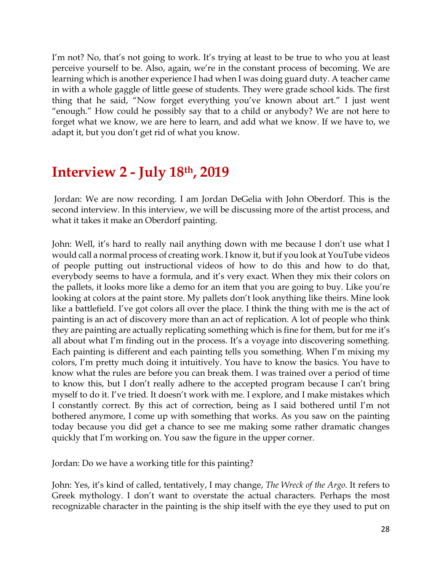I'm not? No, that's not going to work. It's trying at least to be true to who you at least perceive yourself to be. Also, again, we're in the constant process of becoming. We are learning which is another experience I had when I was doing guard duty. A teacher came in with a whole gaggle of little geese of students. They were grade school kids. The first thing that he said, "Now forget everything you've known about art." I just went "enough." How could he possibly say that to a child or anybody? We are not here to forget what we know, we are here to learn, and add what we know. If we have to, we adapt it, but you don't get rid of what you know.

### **Interview 2 - July 18th, 2019**

Jordan: We are now recording. I am Jordan DeGelia with John Oberdorf. This is the second interview. In this interview, we will be discussing more of the artist process, and what it takes it make an Oberdorf painting.

John: Well, it's hard to really nail anything down with me because I don't use what I would call a normal process of creating work. I know it, but if you look at YouTube videos of people putting out instructional videos of how to do this and how to do that, everybody seems to have a formula, and it's very exact. When they mix their colors on the pallets, it looks more like a demo for an item that you are going to buy. Like you're looking at colors at the paint store. My pallets don't look anything like theirs. Mine look like a battlefield. I've got colors all over the place. I think the thing with me is the act of painting is an act of discovery more than an act of replication. A lot of people who think they are painting are actually replicating something which is fine for them, but for me it's all about what I'm finding out in the process. It's a voyage into discovering something. Each painting is different and each painting tells you something. When I'm mixing my colors, I'm pretty much doing it intuitively. You have to know the basics. You have to know what the rules are before you can break them. I was trained over a period of time to know this, but I don't really adhere to the accepted program because I can't bring myself to do it. I've tried. It doesn't work with me. I explore, and I make mistakes which I constantly correct. By this act of correction, being as I said bothered until I'm not bothered anymore, I come up with something that works. As you saw on the painting today because you did get a chance to see me making some rather dramatic changes quickly that I'm working on. You saw the figure in the upper corner.

Jordan: Do we have a working title for this painting?

John: Yes, it's kind of called, tentatively, I may change, *The Wreck of the Argo*. It refers to Greek mythology. I don't want to overstate the actual characters. Perhaps the most recognizable character in the painting is the ship itself with the eye they used to put on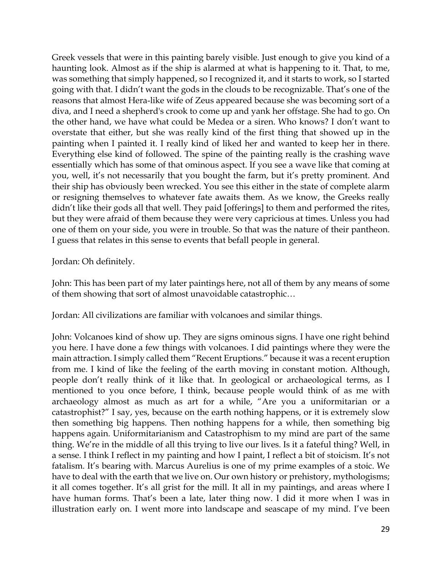Greek vessels that were in this painting barely visible. Just enough to give you kind of a haunting look. Almost as if the ship is alarmed at what is happening to it. That, to me, was something that simply happened, so I recognized it, and it starts to work, so I started going with that. I didn't want the gods in the clouds to be recognizable. That's one of the reasons that almost Hera-like wife of Zeus appeared because she was becoming sort of a diva, and I need a shepherd's crook to come up and yank her offstage. She had to go. On the other hand, we have what could be Medea or a siren. Who knows? I don't want to overstate that either, but she was really kind of the first thing that showed up in the painting when I painted it. I really kind of liked her and wanted to keep her in there. Everything else kind of followed. The spine of the painting really is the crashing wave essentially which has some of that ominous aspect. If you see a wave like that coming at you, well, it's not necessarily that you bought the farm, but it's pretty prominent. And their ship has obviously been wrecked. You see this either in the state of complete alarm or resigning themselves to whatever fate awaits them. As we know, the Greeks really didn't like their gods all that well. They paid [offerings] to them and performed the rites, but they were afraid of them because they were very capricious at times. Unless you had one of them on your side, you were in trouble. So that was the nature of their pantheon. I guess that relates in this sense to events that befall people in general.

Jordan: Oh definitely.

John: This has been part of my later paintings here, not all of them by any means of some of them showing that sort of almost unavoidable catastrophic…

Jordan: All civilizations are familiar with volcanoes and similar things.

John: Volcanoes kind of show up. They are signs ominous signs. I have one right behind you here. I have done a few things with volcanoes. I did paintings where they were the main attraction. I simply called them "Recent Eruptions." because it was a recent eruption from me. I kind of like the feeling of the earth moving in constant motion. Although, people don't really think of it like that. In geological or archaeological terms, as I mentioned to you once before, I think, because people would think of as me with archaeology almost as much as art for a while, "Are you a uniformitarian or a catastrophist?" I say, yes, because on the earth nothing happens, or it is extremely slow then something big happens. Then nothing happens for a while, then something big happens again. Uniformitarianism and Catastrophism to my mind are part of the same thing. We're in the middle of all this trying to live our lives. Is it a fateful thing? Well, in a sense. I think I reflect in my painting and how I paint, I reflect a bit of stoicism. It's not fatalism. It's bearing with. Marcus Aurelius is one of my prime examples of a stoic. We have to deal with the earth that we live on. Our own history or prehistory, mythologisms; it all comes together. It's all grist for the mill. It all in my paintings, and areas where I have human forms. That's been a late, later thing now. I did it more when I was in illustration early on. I went more into landscape and seascape of my mind. I've been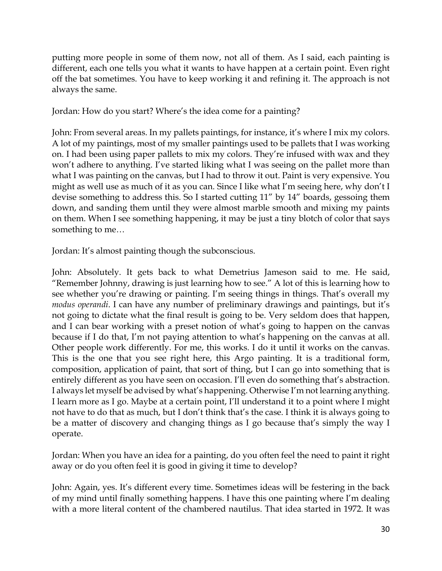putting more people in some of them now, not all of them. As I said, each painting is different, each one tells you what it wants to have happen at a certain point. Even right off the bat sometimes. You have to keep working it and refining it. The approach is not always the same.

Jordan: How do you start? Where's the idea come for a painting?

John: From several areas. In my pallets paintings, for instance, it's where I mix my colors. A lot of my paintings, most of my smaller paintings used to be pallets that I was working on. I had been using paper pallets to mix my colors. They're infused with wax and they won't adhere to anything. I've started liking what I was seeing on the pallet more than what I was painting on the canvas, but I had to throw it out. Paint is very expensive. You might as well use as much of it as you can. Since I like what I'm seeing here, why don't I devise something to address this. So I started cutting 11" by 14" boards, gessoing them down, and sanding them until they were almost marble smooth and mixing my paints on them. When I see something happening, it may be just a tiny blotch of color that says something to me…

Jordan: It's almost painting though the subconscious.

John: Absolutely. It gets back to what Demetrius Jameson said to me. He said, "Remember Johnny, drawing is just learning how to see." A lot of this is learning how to see whether you're drawing or painting. I'm seeing things in things. That's overall my *modus operandi*. I can have any number of preliminary drawings and paintings, but it's not going to dictate what the final result is going to be. Very seldom does that happen, and I can bear working with a preset notion of what's going to happen on the canvas because if I do that, I'm not paying attention to what's happening on the canvas at all. Other people work differently. For me, this works. I do it until it works on the canvas. This is the one that you see right here, this Argo painting. It is a traditional form, composition, application of paint, that sort of thing, but I can go into something that is entirely different as you have seen on occasion. I'll even do something that's abstraction. I always let myself be advised by what's happening. Otherwise I'm not learning anything. I learn more as I go. Maybe at a certain point, I'll understand it to a point where I might not have to do that as much, but I don't think that's the case. I think it is always going to be a matter of discovery and changing things as I go because that's simply the way I operate.

Jordan: When you have an idea for a painting, do you often feel the need to paint it right away or do you often feel it is good in giving it time to develop?

John: Again, yes. It's different every time. Sometimes ideas will be festering in the back of my mind until finally something happens. I have this one painting where I'm dealing with a more literal content of the chambered nautilus. That idea started in 1972. It was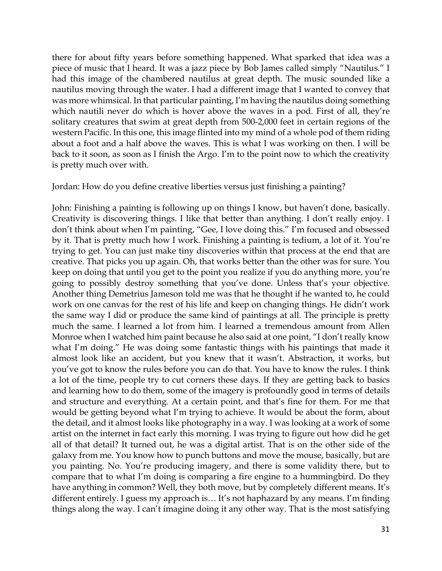there for about fifty years before something happened. What sparked that idea was a piece of music that I heard. It was a jazz piece by Bob James called simply "Nautilus." I had this image of the chambered nautilus at great depth. The music sounded like a nautilus moving through the water. I had a different image that I wanted to convey that was more whimsical. In that particular painting, I'm having the nautilus doing something which nautili never do which is hover above the waves in a pod. First of all, they're solitary creatures that swim at great depth from 500-2,000 feet in certain regions of the western Pacific. In this one, this image flinted into my mind of a whole pod of them riding about a foot and a half above the waves. This is what I was working on then. I will be back to it soon, as soon as I finish the Argo. I'm to the point now to which the creativity is pretty much over with.

#### Jordan: How do you define creative liberties versus just finishing a painting?

John: Finishing a painting is following up on things I know, but haven't done, basically. Creativity is discovering things. I like that better than anything. I don't really enjoy. I don't think about when I'm painting, "Gee, I love doing this." I'm focused and obsessed by it. That is pretty much how I work. Finishing a painting is tedium, a lot of it. You're trying to get. You can just make tiny discoveries within that process at the end that are creative. That picks you up again. Oh, that works better than the other was for sure. You keep on doing that until you get to the point you realize if you do anything more, you're going to possibly destroy something that you've done. Unless that's your objective. Another thing Demetrius Jameson told me was that he thought if he wanted to, he could work on one canvas for the rest of his life and keep on changing things. He didn't work the same way I did or produce the same kind of paintings at all. The principle is pretty much the same. I learned a lot from him. I learned a tremendous amount from Allen Monroe when I watched him paint because he also said at one point, "I don't really know what I'm doing." He was doing some fantastic things with his paintings that made it almost look like an accident, but you knew that it wasn't. Abstraction, it works, but you've got to know the rules before you can do that. You have to know the rules. I think a lot of the time, people try to cut corners these days. If they are getting back to basics and learning how to do them, some of the imagery is profoundly good in terms of details and structure and everything. At a certain point, and that's fine for them. For me that would be getting beyond what I'm trying to achieve. It would be about the form, about the detail, and it almost looks like photography in a way. I was looking at a work of some artist on the internet in fact early this morning. I was trying to figure out how did he get all of that detail? It turned out, he was a digital artist. That is on the other side of the galaxy from me. You know how to punch buttons and move the mouse, basically, but are you painting. No. You're producing imagery, and there is some validity there, but to compare that to what I'm doing is comparing a fire engine to a hummingbird. Do they have anything in common? Well, they both move, but by completely different means. It's different entirely. I guess my approach is… It's not haphazard by any means. I'm finding things along the way. I can't imagine doing it any other way. That is the most satisfying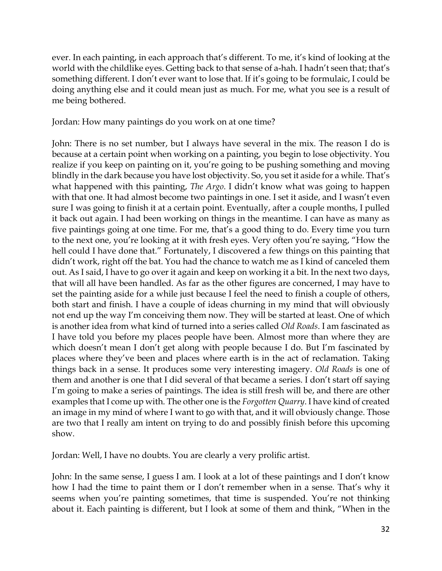ever. In each painting, in each approach that's different. To me, it's kind of looking at the world with the childlike eyes. Getting back to that sense of a-hah. I hadn't seen that; that's something different. I don't ever want to lose that. If it's going to be formulaic, I could be doing anything else and it could mean just as much. For me, what you see is a result of me being bothered.

Jordan: How many paintings do you work on at one time?

John: There is no set number, but I always have several in the mix. The reason I do is because at a certain point when working on a painting, you begin to lose objectivity. You realize if you keep on painting on it, you're going to be pushing something and moving blindly in the dark because you have lost objectivity. So, you set it aside for a while. That's what happened with this painting, *The Argo*. I didn't know what was going to happen with that one. It had almost become two paintings in one. I set it aside, and I wasn't even sure I was going to finish it at a certain point. Eventually, after a couple months, I pulled it back out again. I had been working on things in the meantime. I can have as many as five paintings going at one time. For me, that's a good thing to do. Every time you turn to the next one, you're looking at it with fresh eyes. Very often you're saying, "How the hell could I have done that." Fortunately, I discovered a few things on this painting that didn't work, right off the bat. You had the chance to watch me as I kind of canceled them out. As I said, I have to go over it again and keep on working it a bit. In the next two days, that will all have been handled. As far as the other figures are concerned, I may have to set the painting aside for a while just because I feel the need to finish a couple of others, both start and finish. I have a couple of ideas churning in my mind that will obviously not end up the way I'm conceiving them now. They will be started at least. One of which is another idea from what kind of turned into a series called *Old Roads*. I am fascinated as I have told you before my places people have been. Almost more than where they are which doesn't mean I don't get along with people because I do. But I'm fascinated by places where they've been and places where earth is in the act of reclamation. Taking things back in a sense. It produces some very interesting imagery. *Old Roads* is one of them and another is one that I did several of that became a series. I don't start off saying I'm going to make a series of paintings. The idea is still fresh will be, and there are other examples that I come up with. The other one is the *Forgotten Quarry*. I have kind of created an image in my mind of where I want to go with that, and it will obviously change. Those are two that I really am intent on trying to do and possibly finish before this upcoming show.

Jordan: Well, I have no doubts. You are clearly a very prolific artist.

John: In the same sense, I guess I am. I look at a lot of these paintings and I don't know how I had the time to paint them or I don't remember when in a sense. That's why it seems when you're painting sometimes, that time is suspended. You're not thinking about it. Each painting is different, but I look at some of them and think, "When in the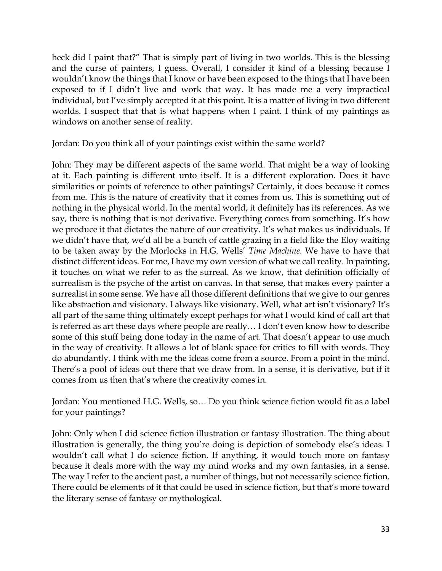heck did I paint that?" That is simply part of living in two worlds. This is the blessing and the curse of painters, I guess. Overall, I consider it kind of a blessing because I wouldn't know the things that I know or have been exposed to the things that I have been exposed to if I didn't live and work that way. It has made me a very impractical individual, but I've simply accepted it at this point. It is a matter of living in two different worlds. I suspect that that is what happens when I paint. I think of my paintings as windows on another sense of reality.

Jordan: Do you think all of your paintings exist within the same world?

John: They may be different aspects of the same world. That might be a way of looking at it. Each painting is different unto itself. It is a different exploration. Does it have similarities or points of reference to other paintings? Certainly, it does because it comes from me. This is the nature of creativity that it comes from us. This is something out of nothing in the physical world. In the mental world, it definitely has its references. As we say, there is nothing that is not derivative. Everything comes from something. It's how we produce it that dictates the nature of our creativity. It's what makes us individuals. If we didn't have that, we'd all be a bunch of cattle grazing in a field like the Eloy waiting to be taken away by the Morlocks in H.G. Wells' *Time Machine.* We have to have that distinct different ideas. For me, I have my own version of what we call reality. In painting, it touches on what we refer to as the surreal. As we know, that definition officially of surrealism is the psyche of the artist on canvas. In that sense, that makes every painter a surrealist in some sense. We have all those different definitions that we give to our genres like abstraction and visionary. I always like visionary. Well, what art isn't visionary? It's all part of the same thing ultimately except perhaps for what I would kind of call art that is referred as art these days where people are really… I don't even know how to describe some of this stuff being done today in the name of art. That doesn't appear to use much in the way of creativity. It allows a lot of blank space for critics to fill with words. They do abundantly. I think with me the ideas come from a source. From a point in the mind. There's a pool of ideas out there that we draw from. In a sense, it is derivative, but if it comes from us then that's where the creativity comes in.

Jordan: You mentioned H.G. Wells, so… Do you think science fiction would fit as a label for your paintings?

John: Only when I did science fiction illustration or fantasy illustration. The thing about illustration is generally, the thing you're doing is depiction of somebody else's ideas. I wouldn't call what I do science fiction. If anything, it would touch more on fantasy because it deals more with the way my mind works and my own fantasies, in a sense. The way I refer to the ancient past, a number of things, but not necessarily science fiction. There could be elements of it that could be used in science fiction, but that's more toward the literary sense of fantasy or mythological.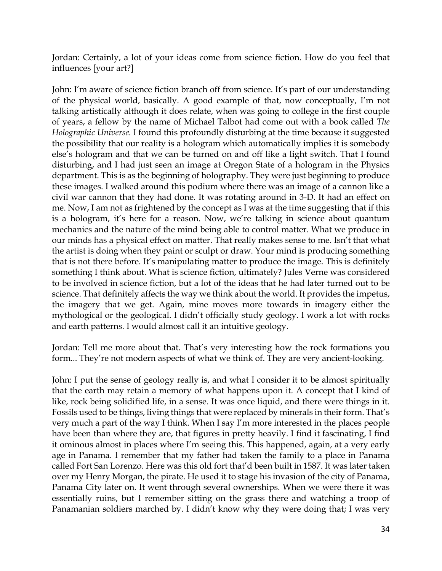Jordan: Certainly, a lot of your ideas come from science fiction. How do you feel that influences [your art?]

John: I'm aware of science fiction branch off from science. It's part of our understanding of the physical world, basically. A good example of that, now conceptually, I'm not talking artistically although it does relate, when was going to college in the first couple of years, a fellow by the name of Michael Talbot had come out with a book called *The Holographic Universe.* I found this profoundly disturbing at the time because it suggested the possibility that our reality is a hologram which automatically implies it is somebody else's hologram and that we can be turned on and off like a light switch. That I found disturbing, and I had just seen an image at Oregon State of a hologram in the Physics department. This is as the beginning of holography. They were just beginning to produce these images. I walked around this podium where there was an image of a cannon like a civil war cannon that they had done. It was rotating around in 3-D. It had an effect on me. Now, I am not as frightened by the concept as I was at the time suggesting that if this is a hologram, it's here for a reason. Now, we're talking in science about quantum mechanics and the nature of the mind being able to control matter. What we produce in our minds has a physical effect on matter. That really makes sense to me. Isn't that what the artist is doing when they paint or sculpt or draw. Your mind is producing something that is not there before. It's manipulating matter to produce the image. This is definitely something I think about. What is science fiction, ultimately? Jules Verne was considered to be involved in science fiction, but a lot of the ideas that he had later turned out to be science. That definitely affects the way we think about the world. It provides the impetus, the imagery that we get. Again, mine moves more towards in imagery either the mythological or the geological. I didn't officially study geology. I work a lot with rocks and earth patterns. I would almost call it an intuitive geology.

Jordan: Tell me more about that. That's very interesting how the rock formations you form... They're not modern aspects of what we think of. They are very ancient-looking.

John: I put the sense of geology really is, and what I consider it to be almost spiritually that the earth may retain a memory of what happens upon it. A concept that I kind of like, rock being solidified life, in a sense. It was once liquid, and there were things in it. Fossils used to be things, living things that were replaced by minerals in their form. That's very much a part of the way I think. When I say I'm more interested in the places people have been than where they are, that figures in pretty heavily. I find it fascinating, I find it ominous almost in places where I'm seeing this. This happened, again, at a very early age in Panama. I remember that my father had taken the family to a place in Panama called Fort San Lorenzo. Here was this old fort that'd been built in 1587. It was later taken over my Henry Morgan, the pirate. He used it to stage his invasion of the city of Panama, Panama City later on. It went through several ownerships. When we were there it was essentially ruins, but I remember sitting on the grass there and watching a troop of Panamanian soldiers marched by. I didn't know why they were doing that; I was very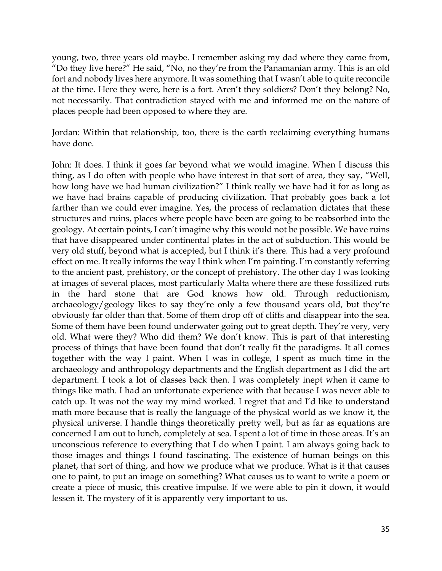young, two, three years old maybe. I remember asking my dad where they came from, "Do they live here?" He said, "No, no they're from the Panamanian army. This is an old fort and nobody lives here anymore. It was something that I wasn't able to quite reconcile at the time. Here they were, here is a fort. Aren't they soldiers? Don't they belong? No, not necessarily. That contradiction stayed with me and informed me on the nature of places people had been opposed to where they are.

Jordan: Within that relationship, too, there is the earth reclaiming everything humans have done.

John: It does. I think it goes far beyond what we would imagine. When I discuss this thing, as I do often with people who have interest in that sort of area, they say, "Well, how long have we had human civilization?" I think really we have had it for as long as we have had brains capable of producing civilization. That probably goes back a lot farther than we could ever imagine. Yes, the process of reclamation dictates that these structures and ruins, places where people have been are going to be reabsorbed into the geology. At certain points, I can't imagine why this would not be possible. We have ruins that have disappeared under continental plates in the act of subduction. This would be very old stuff, beyond what is accepted, but I think it's there. This had a very profound effect on me. It really informs the way I think when I'm painting. I'm constantly referring to the ancient past, prehistory, or the concept of prehistory. The other day I was looking at images of several places, most particularly Malta where there are these fossilized ruts in the hard stone that are God knows how old. Through reductionism, archaeology/geology likes to say they're only a few thousand years old, but they're obviously far older than that. Some of them drop off of cliffs and disappear into the sea. Some of them have been found underwater going out to great depth. They're very, very old. What were they? Who did them? We don't know. This is part of that interesting process of things that have been found that don't really fit the paradigms. It all comes together with the way I paint. When I was in college, I spent as much time in the archaeology and anthropology departments and the English department as I did the art department. I took a lot of classes back then. I was completely inept when it came to things like math. I had an unfortunate experience with that because I was never able to catch up. It was not the way my mind worked. I regret that and I'd like to understand math more because that is really the language of the physical world as we know it, the physical universe. I handle things theoretically pretty well, but as far as equations are concerned I am out to lunch, completely at sea. I spent a lot of time in those areas. It's an unconscious reference to everything that I do when I paint. I am always going back to those images and things I found fascinating. The existence of human beings on this planet, that sort of thing, and how we produce what we produce. What is it that causes one to paint, to put an image on something? What causes us to want to write a poem or create a piece of music, this creative impulse. If we were able to pin it down, it would lessen it. The mystery of it is apparently very important to us.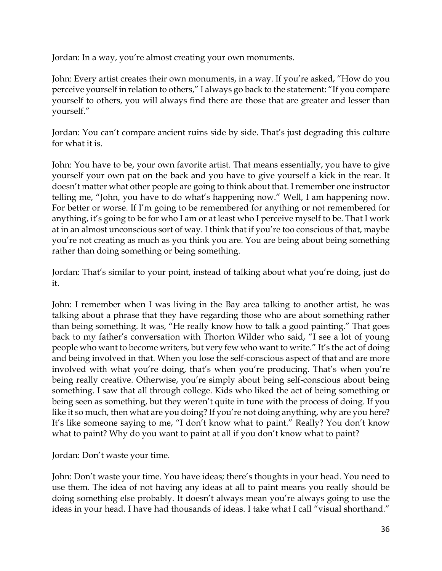Jordan: In a way, you're almost creating your own monuments.

John: Every artist creates their own monuments, in a way. If you're asked, "How do you perceive yourself in relation to others," I always go back to the statement: "If you compare yourself to others, you will always find there are those that are greater and lesser than yourself."

Jordan: You can't compare ancient ruins side by side. That's just degrading this culture for what it is.

John: You have to be, your own favorite artist. That means essentially, you have to give yourself your own pat on the back and you have to give yourself a kick in the rear. It doesn't matter what other people are going to think about that. I remember one instructor telling me, "John, you have to do what's happening now." Well, I am happening now. For better or worse. If I'm going to be remembered for anything or not remembered for anything, it's going to be for who I am or at least who I perceive myself to be. That I work at in an almost unconscious sort of way. I think that if you're too conscious of that, maybe you're not creating as much as you think you are. You are being about being something rather than doing something or being something.

Jordan: That's similar to your point, instead of talking about what you're doing, just do it.

John: I remember when I was living in the Bay area talking to another artist, he was talking about a phrase that they have regarding those who are about something rather than being something. It was, "He really know how to talk a good painting." That goes back to my father's conversation with Thorton Wilder who said, "I see a lot of young people who want to become writers, but very few who want to write." It's the act of doing and being involved in that. When you lose the self-conscious aspect of that and are more involved with what you're doing, that's when you're producing. That's when you're being really creative. Otherwise, you're simply about being self-conscious about being something. I saw that all through college. Kids who liked the act of being something or being seen as something, but they weren't quite in tune with the process of doing. If you like it so much, then what are you doing? If you're not doing anything, why are you here? It's like someone saying to me, "I don't know what to paint." Really? You don't know what to paint? Why do you want to paint at all if you don't know what to paint?

Jordan: Don't waste your time.

John: Don't waste your time. You have ideas; there's thoughts in your head. You need to use them. The idea of not having any ideas at all to paint means you really should be doing something else probably. It doesn't always mean you're always going to use the ideas in your head. I have had thousands of ideas. I take what I call "visual shorthand."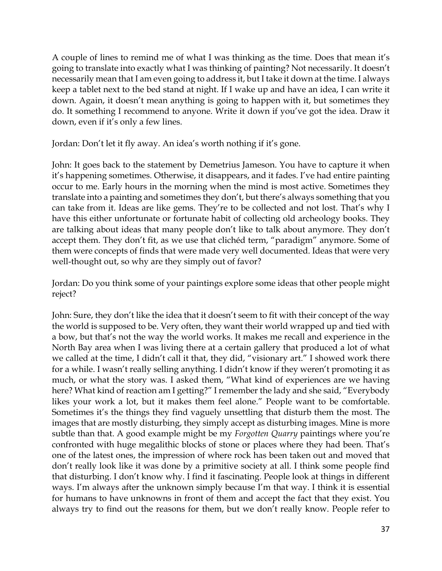A couple of lines to remind me of what I was thinking as the time. Does that mean it's going to translate into exactly what I was thinking of painting? Not necessarily. It doesn't necessarily mean that I am even going to address it, but I take it down at the time. I always keep a tablet next to the bed stand at night. If I wake up and have an idea, I can write it down. Again, it doesn't mean anything is going to happen with it, but sometimes they do. It something I recommend to anyone. Write it down if you've got the idea. Draw it down, even if it's only a few lines.

Jordan: Don't let it fly away. An idea's worth nothing if it's gone.

John: It goes back to the statement by Demetrius Jameson. You have to capture it when it's happening sometimes. Otherwise, it disappears, and it fades. I've had entire painting occur to me. Early hours in the morning when the mind is most active. Sometimes they translate into a painting and sometimes they don't, but there's always something that you can take from it. Ideas are like gems. They're to be collected and not lost. That's why I have this either unfortunate or fortunate habit of collecting old archeology books. They are talking about ideas that many people don't like to talk about anymore. They don't accept them. They don't fit, as we use that clichéd term, "paradigm" anymore. Some of them were concepts of finds that were made very well documented. Ideas that were very well-thought out, so why are they simply out of favor?

Jordan: Do you think some of your paintings explore some ideas that other people might reject?

John: Sure, they don't like the idea that it doesn't seem to fit with their concept of the way the world is supposed to be. Very often, they want their world wrapped up and tied with a bow, but that's not the way the world works. It makes me recall and experience in the North Bay area when I was living there at a certain gallery that produced a lot of what we called at the time, I didn't call it that, they did, "visionary art." I showed work there for a while. I wasn't really selling anything. I didn't know if they weren't promoting it as much, or what the story was. I asked them, "What kind of experiences are we having here? What kind of reaction am I getting?" I remember the lady and she said, "Everybody likes your work a lot, but it makes them feel alone." People want to be comfortable. Sometimes it's the things they find vaguely unsettling that disturb them the most. The images that are mostly disturbing, they simply accept as disturbing images. Mine is more subtle than that. A good example might be my *Forgotten Quarry* paintings where you're confronted with huge megalithic blocks of stone or places where they had been. That's one of the latest ones, the impression of where rock has been taken out and moved that don't really look like it was done by a primitive society at all. I think some people find that disturbing. I don't know why. I find it fascinating. People look at things in different ways. I'm always after the unknown simply because I'm that way. I think it is essential for humans to have unknowns in front of them and accept the fact that they exist. You always try to find out the reasons for them, but we don't really know. People refer to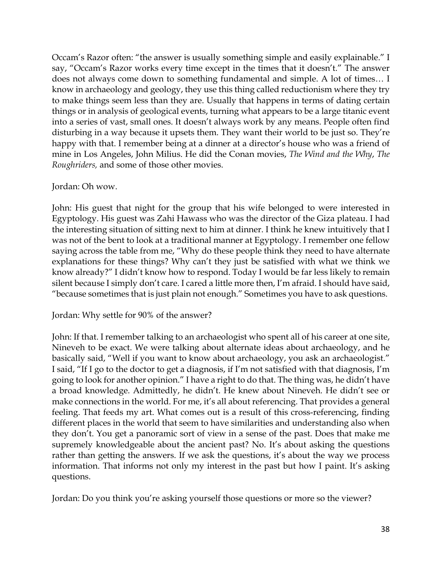Occam's Razor often: "the answer is usually something simple and easily explainable." I say, "Occam's Razor works every time except in the times that it doesn't." The answer does not always come down to something fundamental and simple. A lot of times… I know in archaeology and geology, they use this thing called reductionism where they try to make things seem less than they are. Usually that happens in terms of dating certain things or in analysis of geological events, turning what appears to be a large titanic event into a series of vast, small ones. It doesn't always work by any means. People often find disturbing in a way because it upsets them. They want their world to be just so. They're happy with that. I remember being at a dinner at a director's house who was a friend of mine in Los Angeles, John Milius. He did the Conan movies, *The Wind and the Why*, *The Roughriders,* and some of those other movies.

### Jordan: Oh wow.

John: His guest that night for the group that his wife belonged to were interested in Egyptology. His guest was Zahi Hawass who was the director of the Giza plateau. I had the interesting situation of sitting next to him at dinner. I think he knew intuitively that I was not of the bent to look at a traditional manner at Egyptology. I remember one fellow saying across the table from me, "Why do these people think they need to have alternate explanations for these things? Why can't they just be satisfied with what we think we know already?" I didn't know how to respond. Today I would be far less likely to remain silent because I simply don't care. I cared a little more then, I'm afraid. I should have said, "because sometimes that is just plain not enough." Sometimes you have to ask questions.

### Jordan: Why settle for 90% of the answer?

John: If that. I remember talking to an archaeologist who spent all of his career at one site, Nineveh to be exact. We were talking about alternate ideas about archaeology, and he basically said, "Well if you want to know about archaeology, you ask an archaeologist." I said, "If I go to the doctor to get a diagnosis, if I'm not satisfied with that diagnosis, I'm going to look for another opinion." I have a right to do that. The thing was, he didn't have a broad knowledge. Admittedly, he didn't. He knew about Nineveh. He didn't see or make connections in the world. For me, it's all about referencing. That provides a general feeling. That feeds my art. What comes out is a result of this cross-referencing, finding different places in the world that seem to have similarities and understanding also when they don't. You get a panoramic sort of view in a sense of the past. Does that make me supremely knowledgeable about the ancient past? No. It's about asking the questions rather than getting the answers. If we ask the questions, it's about the way we process information. That informs not only my interest in the past but how I paint. It's asking questions.

Jordan: Do you think you're asking yourself those questions or more so the viewer?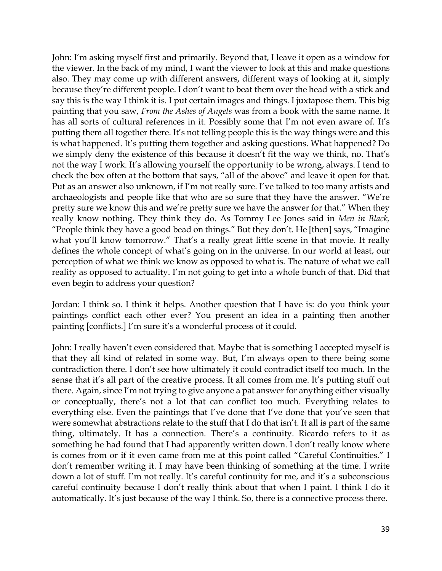John: I'm asking myself first and primarily. Beyond that, I leave it open as a window for the viewer. In the back of my mind, I want the viewer to look at this and make questions also. They may come up with different answers, different ways of looking at it, simply because they're different people. I don't want to beat them over the head with a stick and say this is the way I think it is. I put certain images and things. I juxtapose them. This big painting that you saw, *From the Ashes of Angels* was from a book with the same name. It has all sorts of cultural references in it. Possibly some that I'm not even aware of. It's putting them all together there. It's not telling people this is the way things were and this is what happened. It's putting them together and asking questions. What happened? Do we simply deny the existence of this because it doesn't fit the way we think, no. That's not the way I work. It's allowing yourself the opportunity to be wrong, always. I tend to check the box often at the bottom that says, "all of the above" and leave it open for that. Put as an answer also unknown, if I'm not really sure. I've talked to too many artists and archaeologists and people like that who are so sure that they have the answer. "We're pretty sure we know this and we're pretty sure we have the answer for that." When they really know nothing. They think they do. As Tommy Lee Jones said in *Men in Black,*  "People think they have a good bead on things." But they don't. He [then] says, "Imagine what you'll know tomorrow." That's a really great little scene in that movie. It really defines the whole concept of what's going on in the universe. In our world at least, our perception of what we think we know as opposed to what is. The nature of what we call reality as opposed to actuality. I'm not going to get into a whole bunch of that. Did that even begin to address your question?

Jordan: I think so. I think it helps. Another question that I have is: do you think your paintings conflict each other ever? You present an idea in a painting then another painting [conflicts.] I'm sure it's a wonderful process of it could.

John: I really haven't even considered that. Maybe that is something I accepted myself is that they all kind of related in some way. But, I'm always open to there being some contradiction there. I don't see how ultimately it could contradict itself too much. In the sense that it's all part of the creative process. It all comes from me. It's putting stuff out there. Again, since I'm not trying to give anyone a pat answer for anything either visually or conceptually, there's not a lot that can conflict too much. Everything relates to everything else. Even the paintings that I've done that I've done that you've seen that were somewhat abstractions relate to the stuff that I do that isn't. It all is part of the same thing, ultimately. It has a connection. There's a continuity. Ricardo refers to it as something he had found that I had apparently written down. I don't really know where is comes from or if it even came from me at this point called "Careful Continuities." I don't remember writing it. I may have been thinking of something at the time. I write down a lot of stuff. I'm not really. It's careful continuity for me, and it's a subconscious careful continuity because I don't really think about that when I paint. I think I do it automatically. It's just because of the way I think. So, there is a connective process there.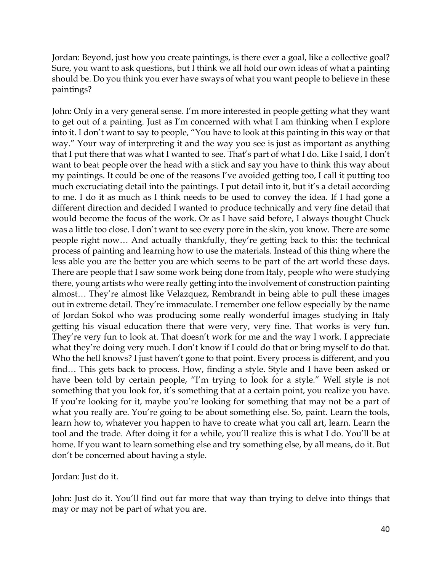Jordan: Beyond, just how you create paintings, is there ever a goal, like a collective goal? Sure, you want to ask questions, but I think we all hold our own ideas of what a painting should be. Do you think you ever have sways of what you want people to believe in these paintings?

John: Only in a very general sense. I'm more interested in people getting what they want to get out of a painting. Just as I'm concerned with what I am thinking when I explore into it. I don't want to say to people, "You have to look at this painting in this way or that way." Your way of interpreting it and the way you see is just as important as anything that I put there that was what I wanted to see. That's part of what I do. Like I said, I don't want to beat people over the head with a stick and say you have to think this way about my paintings. It could be one of the reasons I've avoided getting too, I call it putting too much excruciating detail into the paintings. I put detail into it, but it's a detail according to me. I do it as much as I think needs to be used to convey the idea. If I had gone a different direction and decided I wanted to produce technically and very fine detail that would become the focus of the work. Or as I have said before, I always thought Chuck was a little too close. I don't want to see every pore in the skin, you know. There are some people right now… And actually thankfully, they're getting back to this: the technical process of painting and learning how to use the materials. Instead of this thing where the less able you are the better you are which seems to be part of the art world these days. There are people that I saw some work being done from Italy, people who were studying there, young artists who were really getting into the involvement of construction painting almost… They're almost like Velazquez, Rembrandt in being able to pull these images out in extreme detail. They're immaculate. I remember one fellow especially by the name of Jordan Sokol who was producing some really wonderful images studying in Italy getting his visual education there that were very, very fine. That works is very fun. They're very fun to look at. That doesn't work for me and the way I work. I appreciate what they're doing very much. I don't know if I could do that or bring myself to do that. Who the hell knows? I just haven't gone to that point. Every process is different, and you find… This gets back to process. How, finding a style. Style and I have been asked or have been told by certain people, "I'm trying to look for a style." Well style is not something that you look for, it's something that at a certain point, you realize you have. If you're looking for it, maybe you're looking for something that may not be a part of what you really are. You're going to be about something else. So, paint. Learn the tools, learn how to, whatever you happen to have to create what you call art, learn. Learn the tool and the trade. After doing it for a while, you'll realize this is what I do. You'll be at home. If you want to learn something else and try something else, by all means, do it. But don't be concerned about having a style.

Jordan: Just do it.

John: Just do it. You'll find out far more that way than trying to delve into things that may or may not be part of what you are.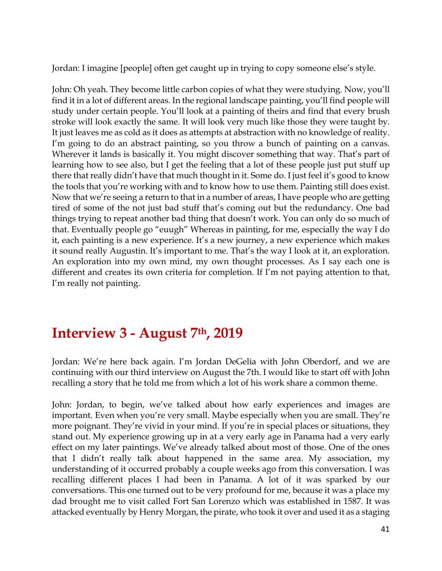Jordan: I imagine [people] often get caught up in trying to copy someone else's style.

John: Oh yeah. They become little carbon copies of what they were studying. Now, you'll find it in a lot of different areas. In the regional landscape painting, you'll find people will study under certain people. You'll look at a painting of theirs and find that every brush stroke will look exactly the same. It will look very much like those they were taught by. It just leaves me as cold as it does as attempts at abstraction with no knowledge of reality. I'm going to do an abstract painting, so you throw a bunch of painting on a canvas. Wherever it lands is basically it. You might discover something that way. That's part of learning how to see also, but I get the feeling that a lot of these people just put stuff up there that really didn't have that much thought in it. Some do. I just feel it's good to know the tools that you're working with and to know how to use them. Painting still does exist. Now that we're seeing a return to that in a number of areas, I have people who are getting tired of some of the not just bad stuff that's coming out but the redundancy. One bad things trying to repeat another bad thing that doesn't work. You can only do so much of that. Eventually people go "euugh" Whereas in painting, for me, especially the way I do it, each painting is a new experience. It's a new journey, a new experience which makes it sound really Augustin. It's important to me. That's the way I look at it, an exploration. An exploration into my own mind, my own thought processes. As I say each one is different and creates its own criteria for completion. If I'm not paying attention to that, I'm really not painting.

### **Interview 3 - August 7th, 2019**

Jordan: We're here back again. I'm Jordan DeGelia with John Oberdorf, and we are continuing with our third interview on August the 7th. I would like to start off with John recalling a story that he told me from which a lot of his work share a common theme.

John: Jordan, to begin, we've talked about how early experiences and images are important. Even when you're very small. Maybe especially when you are small. They're more poignant. They're vivid in your mind. If you're in special places or situations, they stand out. My experience growing up in at a very early age in Panama had a very early effect on my later paintings. We've already talked about most of those. One of the ones that I didn't really talk about happened in the same area. My association, my understanding of it occurred probably a couple weeks ago from this conversation. I was recalling different places I had been in Panama. A lot of it was sparked by our conversations. This one turned out to be very profound for me, because it was a place my dad brought me to visit called Fort San Lorenzo which was established in 1587. It was attacked eventually by Henry Morgan, the pirate, who took it over and used it as a staging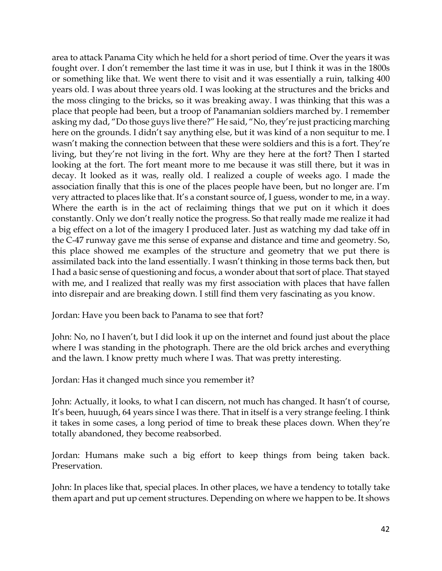area to attack Panama City which he held for a short period of time. Over the years it was fought over. I don't remember the last time it was in use, but I think it was in the 1800s or something like that. We went there to visit and it was essentially a ruin, talking 400 years old. I was about three years old. I was looking at the structures and the bricks and the moss clinging to the bricks, so it was breaking away. I was thinking that this was a place that people had been, but a troop of Panamanian soldiers marched by. I remember asking my dad, "Do those guys live there?" He said, "No, they're just practicing marching here on the grounds. I didn't say anything else, but it was kind of a non sequitur to me. I wasn't making the connection between that these were soldiers and this is a fort. They're living, but they're not living in the fort. Why are they here at the fort? Then I started looking at the fort. The fort meant more to me because it was still there, but it was in decay. It looked as it was, really old. I realized a couple of weeks ago. I made the association finally that this is one of the places people have been, but no longer are. I'm very attracted to places like that. It's a constant source of, I guess, wonder to me, in a way. Where the earth is in the act of reclaiming things that we put on it which it does constantly. Only we don't really notice the progress. So that really made me realize it had a big effect on a lot of the imagery I produced later. Just as watching my dad take off in the C-47 runway gave me this sense of expanse and distance and time and geometry. So, this place showed me examples of the structure and geometry that we put there is assimilated back into the land essentially. I wasn't thinking in those terms back then, but I had a basic sense of questioning and focus, a wonder about that sort of place. That stayed with me, and I realized that really was my first association with places that have fallen into disrepair and are breaking down. I still find them very fascinating as you know.

Jordan: Have you been back to Panama to see that fort?

John: No, no I haven't, but I did look it up on the internet and found just about the place where I was standing in the photograph. There are the old brick arches and everything and the lawn. I know pretty much where I was. That was pretty interesting.

Jordan: Has it changed much since you remember it?

John: Actually, it looks, to what I can discern, not much has changed. It hasn't of course, It's been, huuugh, 64 years since I was there. That in itself is a very strange feeling. I think it takes in some cases, a long period of time to break these places down. When they're totally abandoned, they become reabsorbed.

Jordan: Humans make such a big effort to keep things from being taken back. Preservation.

John: In places like that, special places. In other places, we have a tendency to totally take them apart and put up cement structures. Depending on where we happen to be. It shows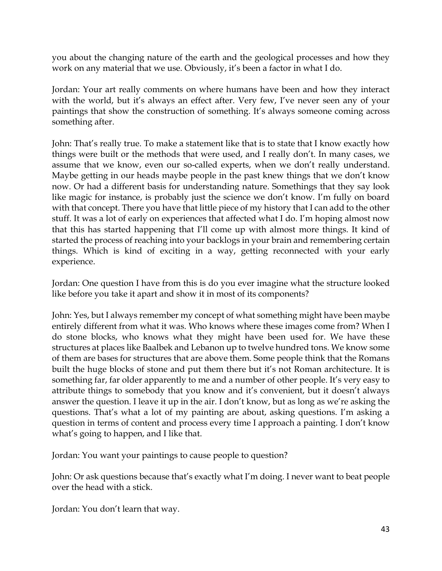you about the changing nature of the earth and the geological processes and how they work on any material that we use. Obviously, it's been a factor in what I do.

Jordan: Your art really comments on where humans have been and how they interact with the world, but it's always an effect after. Very few, I've never seen any of your paintings that show the construction of something. It's always someone coming across something after.

John: That's really true. To make a statement like that is to state that I know exactly how things were built or the methods that were used, and I really don't. In many cases, we assume that we know, even our so-called experts, when we don't really understand. Maybe getting in our heads maybe people in the past knew things that we don't know now. Or had a different basis for understanding nature. Somethings that they say look like magic for instance, is probably just the science we don't know. I'm fully on board with that concept. There you have that little piece of my history that I can add to the other stuff. It was a lot of early on experiences that affected what I do. I'm hoping almost now that this has started happening that I'll come up with almost more things. It kind of started the process of reaching into your backlogs in your brain and remembering certain things. Which is kind of exciting in a way, getting reconnected with your early experience.

Jordan: One question I have from this is do you ever imagine what the structure looked like before you take it apart and show it in most of its components?

John: Yes, but I always remember my concept of what something might have been maybe entirely different from what it was. Who knows where these images come from? When I do stone blocks, who knows what they might have been used for. We have these structures at places like Baalbek and Lebanon up to twelve hundred tons. We know some of them are bases for structures that are above them. Some people think that the Romans built the huge blocks of stone and put them there but it's not Roman architecture. It is something far, far older apparently to me and a number of other people. It's very easy to attribute things to somebody that you know and it's convenient, but it doesn't always answer the question. I leave it up in the air. I don't know, but as long as we're asking the questions. That's what a lot of my painting are about, asking questions. I'm asking a question in terms of content and process every time I approach a painting. I don't know what's going to happen, and I like that.

Jordan: You want your paintings to cause people to question?

John: Or ask questions because that's exactly what I'm doing. I never want to beat people over the head with a stick.

Jordan: You don't learn that way.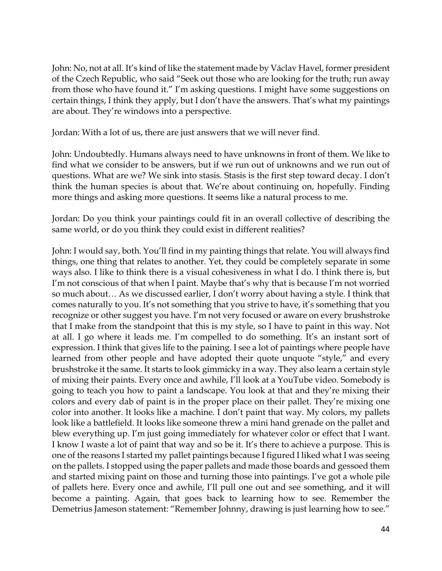John: No, not at all. It's kind of like the statement made by Václav Havel, former president of the Czech Republic, who said "Seek out those who are looking for the truth; run away from those who have found it." I'm asking questions. I might have some suggestions on certain things, I think they apply, but I don't have the answers. That's what my paintings are about. They're windows into a perspective.

Jordan: With a lot of us, there are just answers that we will never find.

John: Undoubtedly. Humans always need to have unknowns in front of them. We like to find what we consider to be answers, but if we run out of unknowns and we run out of questions. What are we? We sink into stasis. Stasis is the first step toward decay. I don't think the human species is about that. We're about continuing on, hopefully. Finding more things and asking more questions. It seems like a natural process to me.

Jordan: Do you think your paintings could fit in an overall collective of describing the same world, or do you think they could exist in different realities?

John: I would say, both. You'll find in my painting things that relate. You will always find things, one thing that relates to another. Yet, they could be completely separate in some ways also. I like to think there is a visual cohesiveness in what I do. I think there is, but I'm not conscious of that when I paint. Maybe that's why that is because I'm not worried so much about… As we discussed earlier, I don't worry about having a style. I think that comes naturally to you. It's not something that you strive to have, it's something that you recognize or other suggest you have. I'm not very focused or aware on every brushstroke that I make from the standpoint that this is my style, so I have to paint in this way. Not at all. I go where it leads me. I'm compelled to do something. It's an instant sort of expression. I think that gives life to the paining. I see a lot of paintings where people have learned from other people and have adopted their quote unquote "style," and every brushstroke it the same. It starts to look gimmicky in a way. They also learn a certain style of mixing their paints. Every once and awhile, I'll look at a YouTube video. Somebody is going to teach you how to paint a landscape. You look at that and they're mixing their colors and every dab of paint is in the proper place on their pallet. They're mixing one color into another. It looks like a machine. I don't paint that way. My colors, my pallets look like a battlefield. It looks like someone threw a mini hand grenade on the pallet and blew everything up. I'm just going immediately for whatever color or effect that I want. I know I waste a lot of paint that way and so be it. It's there to achieve a purpose. This is one of the reasons I started my pallet paintings because I figured I liked what I was seeing on the pallets. I stopped using the paper pallets and made those boards and gessoed them and started mixing paint on those and turning those into paintings. I've got a whole pile of pallets here. Every once and awhile, I'll pull one out and see something, and it will become a painting. Again, that goes back to learning how to see. Remember the Demetrius Jameson statement: "Remember Johnny, drawing is just learning how to see."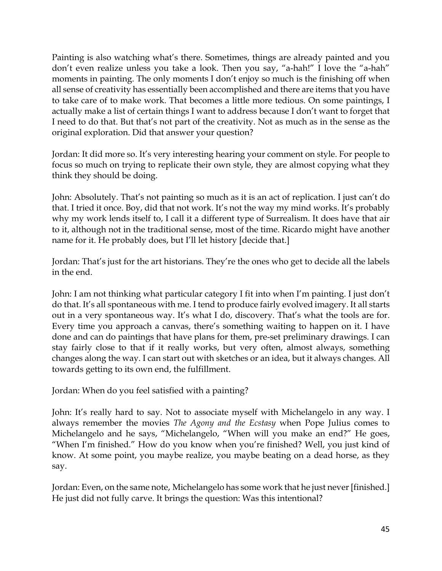Painting is also watching what's there. Sometimes, things are already painted and you don't even realize unless you take a look. Then you say, "a-hah!" I love the "a-hah" moments in painting. The only moments I don't enjoy so much is the finishing off when all sense of creativity has essentially been accomplished and there are items that you have to take care of to make work. That becomes a little more tedious. On some paintings, I actually make a list of certain things I want to address because I don't want to forget that I need to do that. But that's not part of the creativity. Not as much as in the sense as the original exploration. Did that answer your question?

Jordan: It did more so. It's very interesting hearing your comment on style. For people to focus so much on trying to replicate their own style, they are almost copying what they think they should be doing.

John: Absolutely. That's not painting so much as it is an act of replication. I just can't do that. I tried it once. Boy, did that not work. It's not the way my mind works. It's probably why my work lends itself to, I call it a different type of Surrealism. It does have that air to it, although not in the traditional sense, most of the time. Ricardo might have another name for it. He probably does, but I'll let history [decide that.]

Jordan: That's just for the art historians. They're the ones who get to decide all the labels in the end.

John: I am not thinking what particular category I fit into when I'm painting. I just don't do that. It's all spontaneous with me. I tend to produce fairly evolved imagery. It all starts out in a very spontaneous way. It's what I do, discovery. That's what the tools are for. Every time you approach a canvas, there's something waiting to happen on it. I have done and can do paintings that have plans for them, pre-set preliminary drawings. I can stay fairly close to that if it really works, but very often, almost always, something changes along the way. I can start out with sketches or an idea, but it always changes. All towards getting to its own end, the fulfillment.

Jordan: When do you feel satisfied with a painting?

John: It's really hard to say. Not to associate myself with Michelangelo in any way. I always remember the movies *The Agony and the Ecstasy* when Pope Julius comes to Michelangelo and he says, "Michelangelo, "When will you make an end?" He goes, "When I'm finished." How do you know when you're finished? Well, you just kind of know. At some point, you maybe realize, you maybe beating on a dead horse, as they say.

Jordan: Even, on the same note, Michelangelo has some work that he just never [finished.] He just did not fully carve. It brings the question: Was this intentional?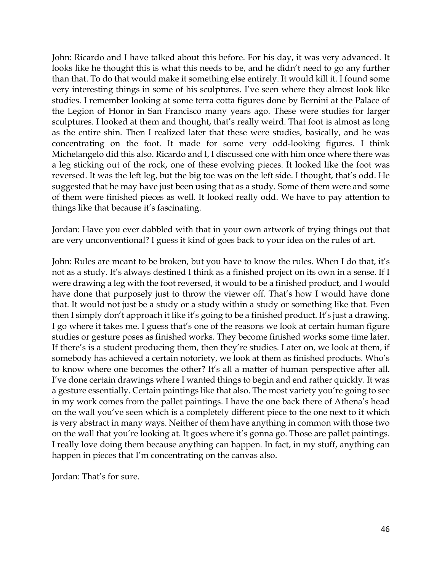John: Ricardo and I have talked about this before. For his day, it was very advanced. It looks like he thought this is what this needs to be, and he didn't need to go any further than that. To do that would make it something else entirely. It would kill it. I found some very interesting things in some of his sculptures. I've seen where they almost look like studies. I remember looking at some terra cotta figures done by Bernini at the Palace of the Legion of Honor in San Francisco many years ago. These were studies for larger sculptures. I looked at them and thought, that's really weird. That foot is almost as long as the entire shin. Then I realized later that these were studies, basically, and he was concentrating on the foot. It made for some very odd-looking figures. I think Michelangelo did this also. Ricardo and I, I discussed one with him once where there was a leg sticking out of the rock, one of these evolving pieces. It looked like the foot was reversed. It was the left leg, but the big toe was on the left side. I thought, that's odd. He suggested that he may have just been using that as a study. Some of them were and some of them were finished pieces as well. It looked really odd. We have to pay attention to things like that because it's fascinating.

Jordan: Have you ever dabbled with that in your own artwork of trying things out that are very unconventional? I guess it kind of goes back to your idea on the rules of art.

John: Rules are meant to be broken, but you have to know the rules. When I do that, it's not as a study. It's always destined I think as a finished project on its own in a sense. If I were drawing a leg with the foot reversed, it would to be a finished product, and I would have done that purposely just to throw the viewer off. That's how I would have done that. It would not just be a study or a study within a study or something like that. Even then I simply don't approach it like it's going to be a finished product. It's just a drawing. I go where it takes me. I guess that's one of the reasons we look at certain human figure studies or gesture poses as finished works. They become finished works some time later. If there's is a student producing them, then they're studies. Later on, we look at them, if somebody has achieved a certain notoriety, we look at them as finished products. Who's to know where one becomes the other? It's all a matter of human perspective after all. I've done certain drawings where I wanted things to begin and end rather quickly. It was a gesture essentially. Certain paintings like that also. The most variety you're going to see in my work comes from the pallet paintings. I have the one back there of Athena's head on the wall you've seen which is a completely different piece to the one next to it which is very abstract in many ways. Neither of them have anything in common with those two on the wall that you're looking at. It goes where it's gonna go. Those are pallet paintings. I really love doing them because anything can happen. In fact, in my stuff, anything can happen in pieces that I'm concentrating on the canvas also.

Jordan: That's for sure.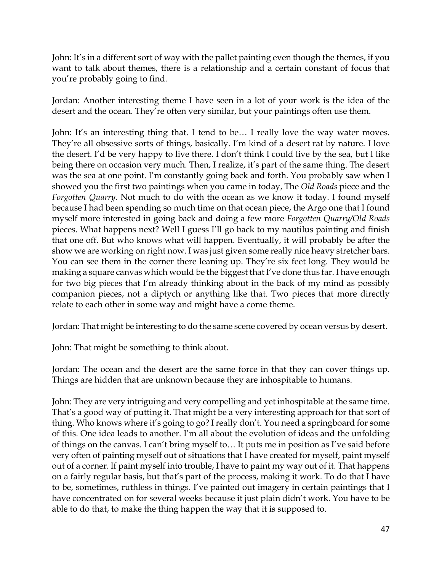John: It's in a different sort of way with the pallet painting even though the themes, if you want to talk about themes, there is a relationship and a certain constant of focus that you're probably going to find.

Jordan: Another interesting theme I have seen in a lot of your work is the idea of the desert and the ocean. They're often very similar, but your paintings often use them.

John: It's an interesting thing that. I tend to be… I really love the way water moves. They're all obsessive sorts of things, basically. I'm kind of a desert rat by nature. I love the desert. I'd be very happy to live there. I don't think I could live by the sea, but I like being there on occasion very much. Then, I realize, it's part of the same thing. The desert was the sea at one point. I'm constantly going back and forth. You probably saw when I showed you the first two paintings when you came in today, The *Old Roads* piece and the *Forgotten Quarry.* Not much to do with the ocean as we know it today. I found myself because I had been spending so much time on that ocean piece, the Argo one that I found myself more interested in going back and doing a few more *Forgotten Quarry/Old Roads* pieces. What happens next? Well I guess I'll go back to my nautilus painting and finish that one off. But who knows what will happen. Eventually, it will probably be after the show we are working on right now. I was just given some really nice heavy stretcher bars. You can see them in the corner there leaning up. They're six feet long. They would be making a square canvas which would be the biggest that I've done thus far. I have enough for two big pieces that I'm already thinking about in the back of my mind as possibly companion pieces, not a diptych or anything like that. Two pieces that more directly relate to each other in some way and might have a come theme.

Jordan: That might be interesting to do the same scene covered by ocean versus by desert.

John: That might be something to think about.

Jordan: The ocean and the desert are the same force in that they can cover things up. Things are hidden that are unknown because they are inhospitable to humans.

John: They are very intriguing and very compelling and yet inhospitable at the same time. That's a good way of putting it. That might be a very interesting approach for that sort of thing. Who knows where it's going to go? I really don't. You need a springboard for some of this. One idea leads to another. I'm all about the evolution of ideas and the unfolding of things on the canvas. I can't bring myself to… It puts me in position as I've said before very often of painting myself out of situations that I have created for myself, paint myself out of a corner. If paint myself into trouble, I have to paint my way out of it. That happens on a fairly regular basis, but that's part of the process, making it work. To do that I have to be, sometimes, ruthless in things. I've painted out imagery in certain paintings that I have concentrated on for several weeks because it just plain didn't work. You have to be able to do that, to make the thing happen the way that it is supposed to.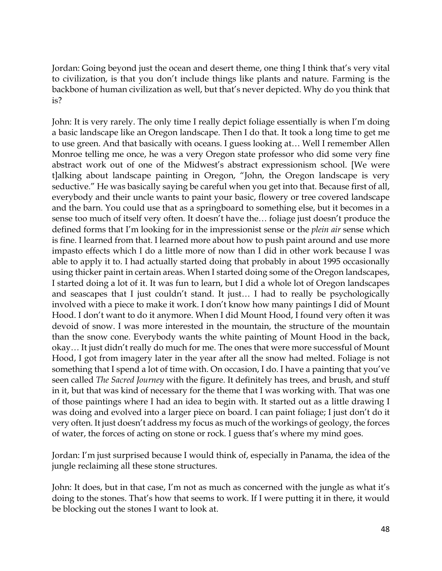Jordan: Going beyond just the ocean and desert theme, one thing I think that's very vital to civilization, is that you don't include things like plants and nature. Farming is the backbone of human civilization as well, but that's never depicted. Why do you think that is?

John: It is very rarely. The only time I really depict foliage essentially is when I'm doing a basic landscape like an Oregon landscape. Then I do that. It took a long time to get me to use green. And that basically with oceans. I guess looking at… Well I remember Allen Monroe telling me once, he was a very Oregon state professor who did some very fine abstract work out of one of the Midwest's abstract expressionism school. [We were t]alking about landscape painting in Oregon, "John, the Oregon landscape is very seductive." He was basically saying be careful when you get into that. Because first of all, everybody and their uncle wants to paint your basic, flowery or tree covered landscape and the barn. You could use that as a springboard to something else, but it becomes in a sense too much of itself very often. It doesn't have the… foliage just doesn't produce the defined forms that I'm looking for in the impressionist sense or the *plein air* sense which is fine. I learned from that. I learned more about how to push paint around and use more impasto effects which I do a little more of now than I did in other work because I was able to apply it to. I had actually started doing that probably in about 1995 occasionally using thicker paint in certain areas. When I started doing some of the Oregon landscapes, I started doing a lot of it. It was fun to learn, but I did a whole lot of Oregon landscapes and seascapes that I just couldn't stand. It just… I had to really be psychologically involved with a piece to make it work. I don't know how many paintings I did of Mount Hood. I don't want to do it anymore. When I did Mount Hood, I found very often it was devoid of snow. I was more interested in the mountain, the structure of the mountain than the snow cone. Everybody wants the white painting of Mount Hood in the back, okay… It just didn't really do much for me. The ones that were more successful of Mount Hood, I got from imagery later in the year after all the snow had melted. Foliage is not something that I spend a lot of time with. On occasion, I do. I have a painting that you've seen called *The Sacred Journey* with the figure. It definitely has trees, and brush, and stuff in it, but that was kind of necessary for the theme that I was working with. That was one of those paintings where I had an idea to begin with. It started out as a little drawing I was doing and evolved into a larger piece on board. I can paint foliage; I just don't do it very often. It just doesn't address my focus as much of the workings of geology, the forces of water, the forces of acting on stone or rock. I guess that's where my mind goes.

Jordan: I'm just surprised because I would think of, especially in Panama, the idea of the jungle reclaiming all these stone structures.

John: It does, but in that case, I'm not as much as concerned with the jungle as what it's doing to the stones. That's how that seems to work. If I were putting it in there, it would be blocking out the stones I want to look at.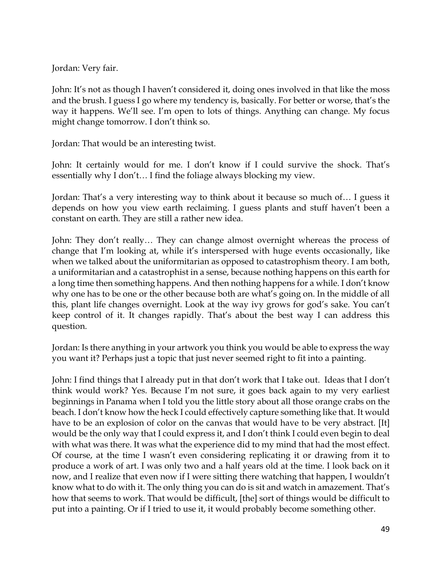Jordan: Very fair.

John: It's not as though I haven't considered it, doing ones involved in that like the moss and the brush. I guess I go where my tendency is, basically. For better or worse, that's the way it happens. We'll see. I'm open to lots of things. Anything can change. My focus might change tomorrow. I don't think so.

Jordan: That would be an interesting twist.

John: It certainly would for me. I don't know if I could survive the shock. That's essentially why I don't… I find the foliage always blocking my view.

Jordan: That's a very interesting way to think about it because so much of… I guess it depends on how you view earth reclaiming. I guess plants and stuff haven't been a constant on earth. They are still a rather new idea.

John: They don't really… They can change almost overnight whereas the process of change that I'm looking at, while it's interspersed with huge events occasionally, like when we talked about the uniformitarian as opposed to catastrophism theory. I am both, a uniformitarian and a catastrophist in a sense, because nothing happens on this earth for a long time then something happens. And then nothing happens for a while. I don't know why one has to be one or the other because both are what's going on. In the middle of all this, plant life changes overnight. Look at the way ivy grows for god's sake. You can't keep control of it. It changes rapidly. That's about the best way I can address this question.

Jordan: Is there anything in your artwork you think you would be able to express the way you want it? Perhaps just a topic that just never seemed right to fit into a painting.

John: I find things that I already put in that don't work that I take out. Ideas that I don't think would work? Yes. Because I'm not sure, it goes back again to my very earliest beginnings in Panama when I told you the little story about all those orange crabs on the beach. I don't know how the heck I could effectively capture something like that. It would have to be an explosion of color on the canvas that would have to be very abstract. [It] would be the only way that I could express it, and I don't think I could even begin to deal with what was there. It was what the experience did to my mind that had the most effect. Of course, at the time I wasn't even considering replicating it or drawing from it to produce a work of art. I was only two and a half years old at the time. I look back on it now, and I realize that even now if I were sitting there watching that happen, I wouldn't know what to do with it. The only thing you can do is sit and watch in amazement. That's how that seems to work. That would be difficult, [the] sort of things would be difficult to put into a painting. Or if I tried to use it, it would probably become something other.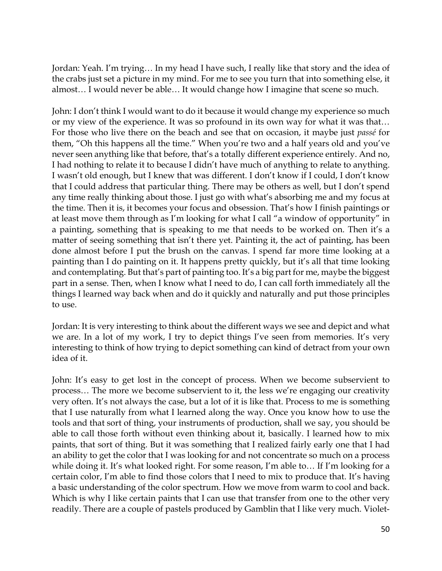Jordan: Yeah. I'm trying… In my head I have such, I really like that story and the idea of the crabs just set a picture in my mind. For me to see you turn that into something else, it almost… I would never be able… It would change how I imagine that scene so much.

John: I don't think I would want to do it because it would change my experience so much or my view of the experience. It was so profound in its own way for what it was that… For those who live there on the beach and see that on occasion, it maybe just *passé* for them, "Oh this happens all the time." When you're two and a half years old and you've never seen anything like that before, that's a totally different experience entirely. And no, I had nothing to relate it to because I didn't have much of anything to relate to anything. I wasn't old enough, but I knew that was different. I don't know if I could, I don't know that I could address that particular thing. There may be others as well, but I don't spend any time really thinking about those. I just go with what's absorbing me and my focus at the time. Then it is, it becomes your focus and obsession. That's how I finish paintings or at least move them through as I'm looking for what I call "a window of opportunity" in a painting, something that is speaking to me that needs to be worked on. Then it's a matter of seeing something that isn't there yet. Painting it, the act of painting, has been done almost before I put the brush on the canvas. I spend far more time looking at a painting than I do painting on it. It happens pretty quickly, but it's all that time looking and contemplating. But that's part of painting too. It's a big part for me, maybe the biggest part in a sense. Then, when I know what I need to do, I can call forth immediately all the things I learned way back when and do it quickly and naturally and put those principles to use.

Jordan: It is very interesting to think about the different ways we see and depict and what we are. In a lot of my work, I try to depict things I've seen from memories. It's very interesting to think of how trying to depict something can kind of detract from your own idea of it.

John: It's easy to get lost in the concept of process. When we become subservient to process… The more we become subservient to it, the less we're engaging our creativity very often. It's not always the case, but a lot of it is like that. Process to me is something that I use naturally from what I learned along the way. Once you know how to use the tools and that sort of thing, your instruments of production, shall we say, you should be able to call those forth without even thinking about it, basically. I learned how to mix paints, that sort of thing. But it was something that I realized fairly early one that I had an ability to get the color that I was looking for and not concentrate so much on a process while doing it. It's what looked right. For some reason, I'm able to… If I'm looking for a certain color, I'm able to find those colors that I need to mix to produce that. It's having a basic understanding of the color spectrum. How we move from warm to cool and back. Which is why I like certain paints that I can use that transfer from one to the other very readily. There are a couple of pastels produced by Gamblin that I like very much. Violet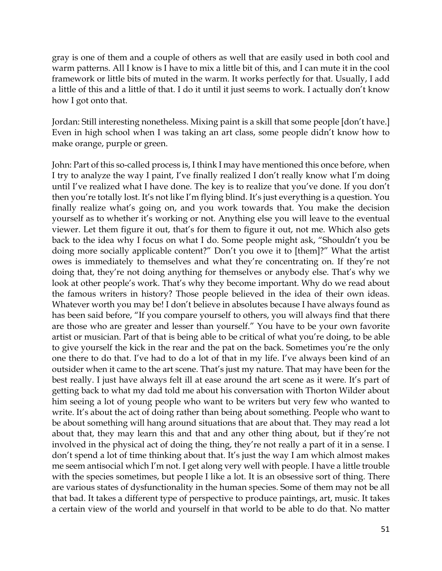gray is one of them and a couple of others as well that are easily used in both cool and warm patterns. All I know is I have to mix a little bit of this, and I can mute it in the cool framework or little bits of muted in the warm. It works perfectly for that. Usually, I add a little of this and a little of that. I do it until it just seems to work. I actually don't know how I got onto that.

Jordan: Still interesting nonetheless. Mixing paint is a skill that some people [don't have.] Even in high school when I was taking an art class, some people didn't know how to make orange, purple or green.

John: Part of this so-called process is, I think I may have mentioned this once before, when I try to analyze the way I paint, I've finally realized I don't really know what I'm doing until I've realized what I have done. The key is to realize that you've done. If you don't then you're totally lost. It's not like I'm flying blind. It's just everything is a question. You finally realize what's going on, and you work towards that. You make the decision yourself as to whether it's working or not. Anything else you will leave to the eventual viewer. Let them figure it out, that's for them to figure it out, not me. Which also gets back to the idea why I focus on what I do. Some people might ask, "Shouldn't you be doing more socially applicable content?" Don't you owe it to [them]?" What the artist owes is immediately to themselves and what they're concentrating on. If they're not doing that, they're not doing anything for themselves or anybody else. That's why we look at other people's work. That's why they become important. Why do we read about the famous writers in history? Those people believed in the idea of their own ideas. Whatever worth you may be! I don't believe in absolutes because I have always found as has been said before, "If you compare yourself to others, you will always find that there are those who are greater and lesser than yourself." You have to be your own favorite artist or musician. Part of that is being able to be critical of what you're doing, to be able to give yourself the kick in the rear and the pat on the back. Sometimes you're the only one there to do that. I've had to do a lot of that in my life. I've always been kind of an outsider when it came to the art scene. That's just my nature. That may have been for the best really. I just have always felt ill at ease around the art scene as it were. It's part of getting back to what my dad told me about his conversation with Thorton Wilder about him seeing a lot of young people who want to be writers but very few who wanted to write. It's about the act of doing rather than being about something. People who want to be about something will hang around situations that are about that. They may read a lot about that, they may learn this and that and any other thing about, but if they're not involved in the physical act of doing the thing, they're not really a part of it in a sense. I don't spend a lot of time thinking about that. It's just the way I am which almost makes me seem antisocial which I'm not. I get along very well with people. I have a little trouble with the species sometimes, but people I like a lot. It is an obsessive sort of thing. There are various states of dysfunctionality in the human species. Some of them may not be all that bad. It takes a different type of perspective to produce paintings, art, music. It takes a certain view of the world and yourself in that world to be able to do that. No matter